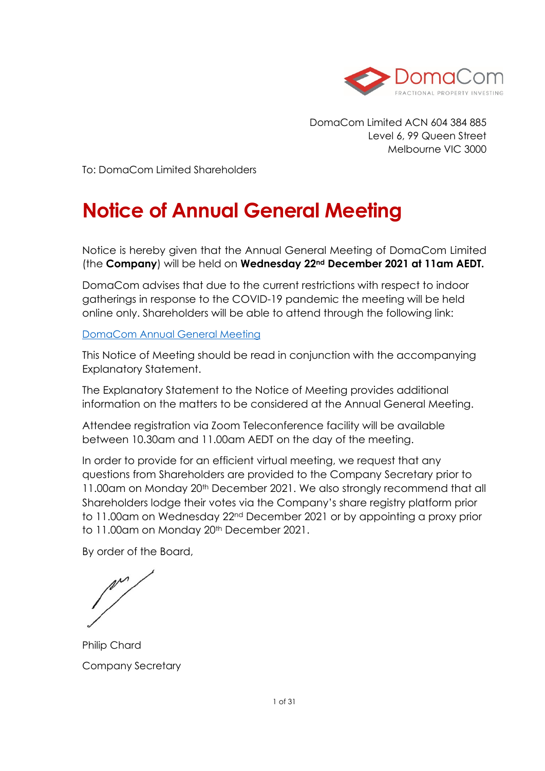

DomaCom Limited ACN 604 384 885 Level 6, 99 Queen Street Melbourne VIC 3000

To: DomaCom Limited Shareholders

# **Notice of Annual General Meeting**

Notice is hereby given that the Annual General Meeting of DomaCom Limited (the **Company**) will be held on **Wednesday 22nd December 2021 at 11am AEDT.** 

DomaCom advises that due to the current restrictions with respect to indoor gatherings in response to the COVID-19 pandemic the meeting will be held online only. Shareholders will be able to attend through the following link:

#### [DomaCom Annual General Meeting](https://domacom.com.au/domacom-annual-general-meeting/)

This Notice of Meeting should be read in conjunction with the accompanying Explanatory Statement.

The Explanatory Statement to the Notice of Meeting provides additional information on the matters to be considered at the Annual General Meeting.

Attendee registration via Zoom Teleconference facility will be available between 10.30am and 11.00am AEDT on the day of the meeting.

In order to provide for an efficient virtual meeting, we request that any questions from Shareholders are provided to the Company Secretary prior to 11.00am on Monday 20<sup>th</sup> December 2021. We also strongly recommend that all Shareholders lodge their votes via the Company's share registry platform prior to 11.00am on Wednesday 22nd December 2021 or by appointing a proxy prior to 11.00am on Monday 20<sup>th</sup> December 2021.

By order of the Board,

 $\overline{\mathcal{L}}$ 

Philip Chard Company Secretary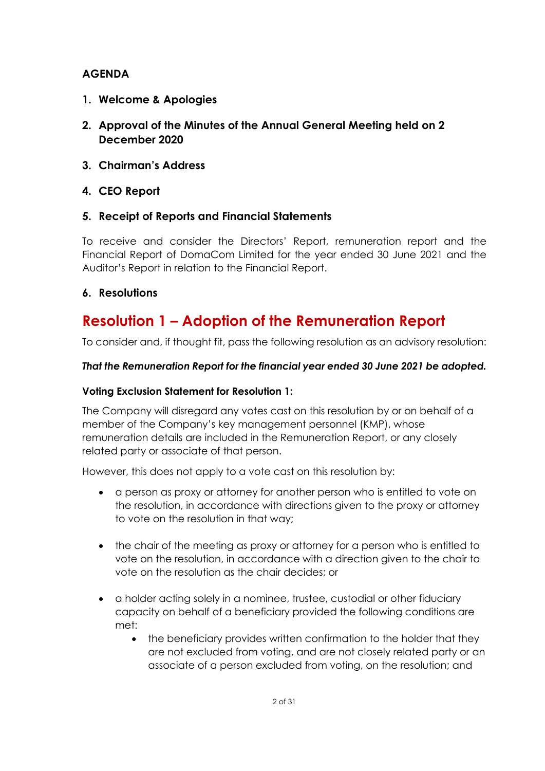#### **AGENDA**

- **1. Welcome & Apologies**
- **2. Approval of the Minutes of the Annual General Meeting held on 2 December 2020**
- **3. Chairman's Address**
- **4. CEO Report**

#### **5. Receipt of Reports and Financial Statements**

To receive and consider the Directors' Report, remuneration report and the Financial Report of DomaCom Limited for the year ended 30 June 2021 and the Auditor's Report in relation to the Financial Report.

#### **6. Resolutions**

# **Resolution 1 – Adoption of the Remuneration Report**

To consider and, if thought fit, pass the following resolution as an advisory resolution:

#### *That the Remuneration Report for the financial year ended 30 June 2021 be adopted.*

#### **Voting Exclusion Statement for Resolution 1:**

The Company will disregard any votes cast on this resolution by or on behalf of a member of the Company's key management personnel (KMP), whose remuneration details are included in the Remuneration Report, or any closely related party or associate of that person.

However, this does not apply to a vote cast on this resolution by:

- a person as proxy or attorney for another person who is entitled to vote on the resolution, in accordance with directions given to the proxy or attorney to vote on the resolution in that way;
- the chair of the meeting as proxy or attorney for a person who is entitled to vote on the resolution, in accordance with a direction given to the chair to vote on the resolution as the chair decides; or
- a holder acting solely in a nominee, trustee, custodial or other fiduciary capacity on behalf of a beneficiary provided the following conditions are met:
	- the beneficiary provides written confirmation to the holder that they are not excluded from voting, and are not closely related party or an associate of a person excluded from voting, on the resolution; and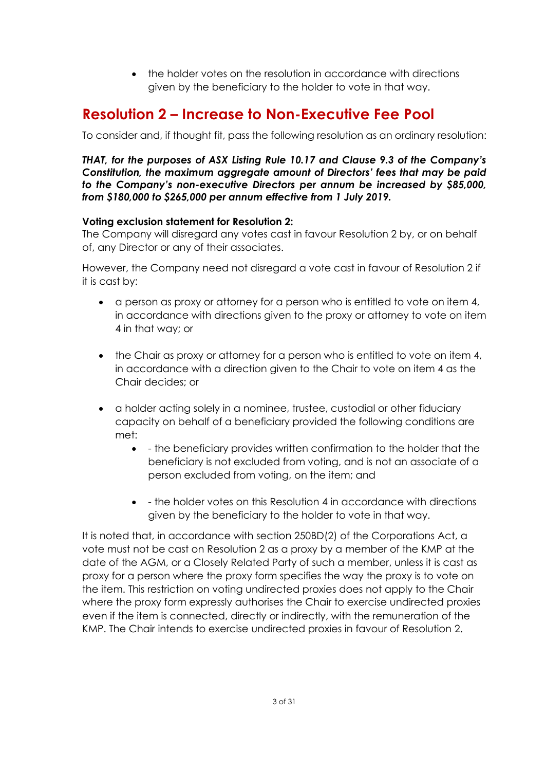• the holder votes on the resolution in accordance with directions given by the beneficiary to the holder to vote in that way.

# **Resolution 2 – Increase to Non-Executive Fee Pool**

To consider and, if thought fit, pass the following resolution as an ordinary resolution:

*THAT, for the purposes of ASX Listing Rule 10.17 and Clause 9.3 of the Company's Constitution, the maximum aggregate amount of Directors' fees that may be paid to the Company's non-executive Directors per annum be increased by \$85,000, from \$180,000 to \$265,000 per annum effective from 1 July 2019.*

#### **Voting exclusion statement for Resolution 2:**

The Company will disregard any votes cast in favour Resolution 2 by, or on behalf of, any Director or any of their associates.

However, the Company need not disregard a vote cast in favour of Resolution 2 if it is cast by:

- a person as proxy or attorney for a person who is entitled to vote on item 4, in accordance with directions given to the proxy or attorney to vote on item 4 in that way; or
- the Chair as proxy or attorney for a person who is entitled to vote on item 4, in accordance with a direction given to the Chair to vote on item 4 as the Chair decides; or
- a holder acting solely in a nominee, trustee, custodial or other fiduciary capacity on behalf of a beneficiary provided the following conditions are met:
	- - the beneficiary provides written confirmation to the holder that the beneficiary is not excluded from voting, and is not an associate of a person excluded from voting, on the item; and
	- - the holder votes on this Resolution 4 in accordance with directions given by the beneficiary to the holder to vote in that way.

It is noted that, in accordance with section 250BD(2) of the Corporations Act, a vote must not be cast on Resolution 2 as a proxy by a member of the KMP at the date of the AGM, or a Closely Related Party of such a member, unless it is cast as proxy for a person where the proxy form specifies the way the proxy is to vote on the item. This restriction on voting undirected proxies does not apply to the Chair where the proxy form expressly authorises the Chair to exercise undirected proxies even if the item is connected, directly or indirectly, with the remuneration of the KMP. The Chair intends to exercise undirected proxies in favour of Resolution 2.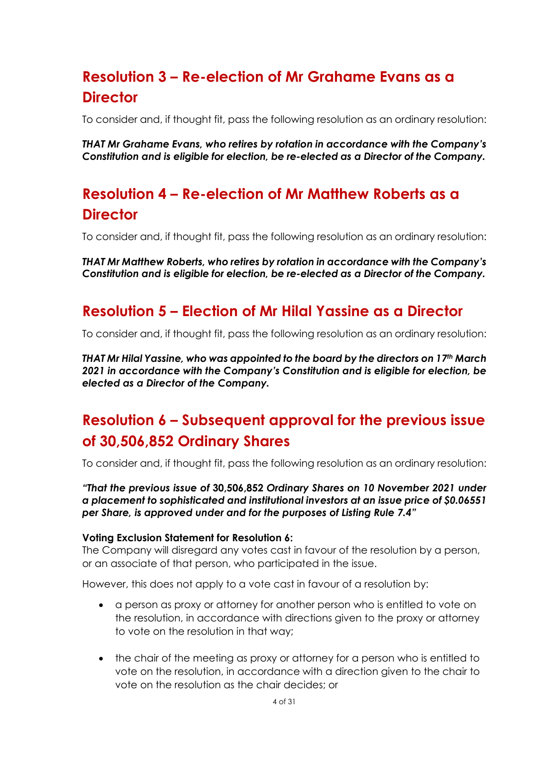# **Resolution 3 – Re-election of Mr Grahame Evans as a Director**

To consider and, if thought fit, pass the following resolution as an ordinary resolution:

*THAT Mr Grahame Evans, who retires by rotation in accordance with the Company's Constitution and is eligible for election, be re-elected as a Director of the Company.*

# **Resolution 4 – Re-election of Mr Matthew Roberts as a Director**

To consider and, if thought fit, pass the following resolution as an ordinary resolution:

*THAT Mr Matthew Roberts, who retires by rotation in accordance with the Company's Constitution and is eligible for election, be re-elected as a Director of the Company.*

# **Resolution 5 – Election of Mr Hilal Yassine as a Director**

To consider and, if thought fit, pass the following resolution as an ordinary resolution:

*THAT Mr Hilal Yassine, who was appointed to the board by the directors on 17th March 2021 in accordance with the Company's Constitution and is eligible for election, be elected as a Director of the Company.*

# **Resolution 6 – Subsequent approval for the previous issue of 30,506,852 Ordinary Shares**

To consider and, if thought fit, pass the following resolution as an ordinary resolution:

*"That the previous issue of* **30,506,852** *Ordinary Shares on 10 November 2021 under a placement to sophisticated and institutional investors at an issue price of \$0.06551 per Share, is approved under and for the purposes of Listing Rule 7.4"*

#### **Voting Exclusion Statement for Resolution 6:**

The Company will disregard any votes cast in favour of the resolution by a person, or an associate of that person, who participated in the issue.

However, this does not apply to a vote cast in favour of a resolution by:

- a person as proxy or attorney for another person who is entitled to vote on the resolution, in accordance with directions given to the proxy or attorney to vote on the resolution in that way;
- the chair of the meeting as proxy or attorney for a person who is entitled to vote on the resolution, in accordance with a direction given to the chair to vote on the resolution as the chair decides; or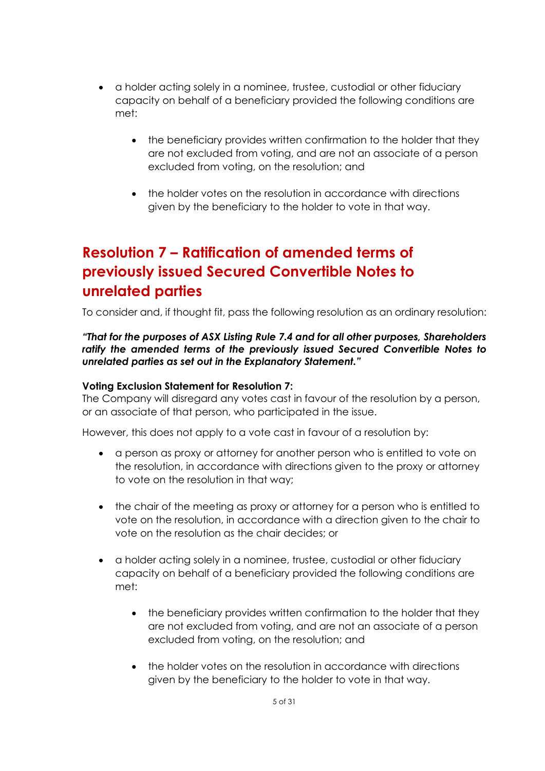- a holder acting solely in a nominee, trustee, custodial or other fiduciary capacity on behalf of a beneficiary provided the following conditions are met:
	- the beneficiary provides written confirmation to the holder that they are not excluded from voting, and are not an associate of a person excluded from voting, on the resolution; and
	- the holder votes on the resolution in accordance with directions given by the beneficiary to the holder to vote in that way.

# **Resolution 7 – Ratification of amended terms of previously issued Secured Convertible Notes to unrelated parties**

To consider and, if thought fit, pass the following resolution as an ordinary resolution:

*"That for the purposes of ASX Listing Rule 7.4 and for all other purposes, Shareholders ratify the amended terms of the previously issued Secured Convertible Notes to unrelated parties as set out in the Explanatory Statement."*

#### **Voting Exclusion Statement for Resolution 7:**

The Company will disregard any votes cast in favour of the resolution by a person, or an associate of that person, who participated in the issue.

However, this does not apply to a vote cast in favour of a resolution by:

- a person as proxy or attorney for another person who is entitled to vote on the resolution, in accordance with directions given to the proxy or attorney to vote on the resolution in that way;
- the chair of the meeting as proxy or attorney for a person who is entitled to vote on the resolution, in accordance with a direction given to the chair to vote on the resolution as the chair decides; or
- a holder acting solely in a nominee, trustee, custodial or other fiduciary capacity on behalf of a beneficiary provided the following conditions are met:
	- the beneficiary provides written confirmation to the holder that they are not excluded from voting, and are not an associate of a person excluded from voting, on the resolution; and
	- the holder votes on the resolution in accordance with directions given by the beneficiary to the holder to vote in that way.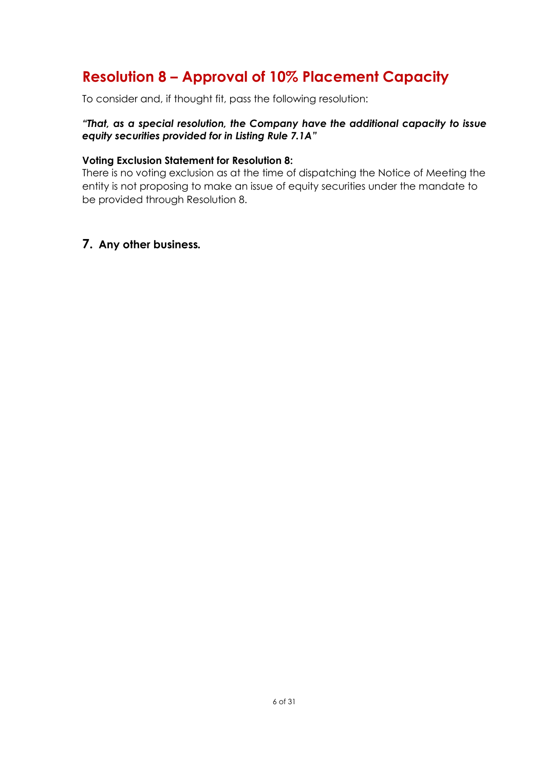# **Resolution 8 – Approval of 10% Placement Capacity**

To consider and, if thought fit, pass the following resolution:

#### *"That, as a special resolution, the Company have the additional capacity to issue equity securities provided for in Listing Rule 7.1A"*

#### **Voting Exclusion Statement for Resolution 8:**

There is no voting exclusion as at the time of dispatching the Notice of Meeting the entity is not proposing to make an issue of equity securities under the mandate to be provided through Resolution 8.

#### **7. Any other business***.*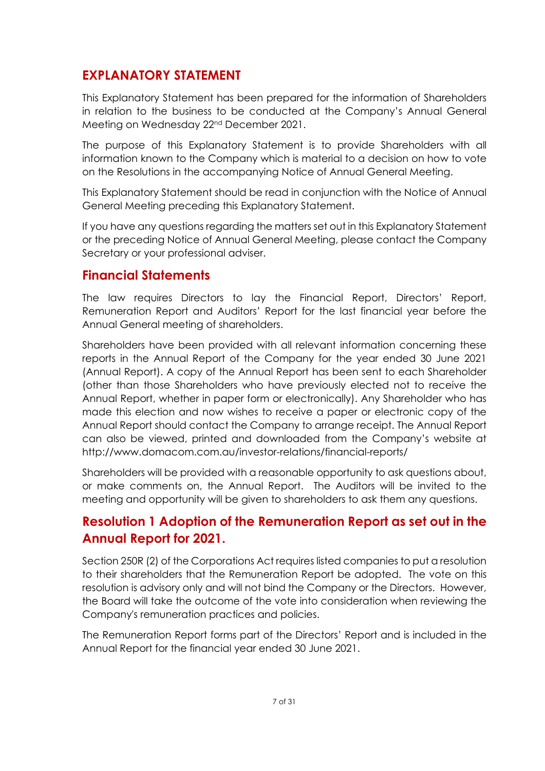## **EXPLANATORY STATEMENT**

This Explanatory Statement has been prepared for the information of Shareholders in relation to the business to be conducted at the Company's Annual General Meeting on Wednesday 22nd December 2021.

The purpose of this Explanatory Statement is to provide Shareholders with all information known to the Company which is material to a decision on how to vote on the Resolutions in the accompanying Notice of Annual General Meeting.

This Explanatory Statement should be read in conjunction with the Notice of Annual General Meeting preceding this Explanatory Statement.

If you have any questions regarding the matters set out in this Explanatory Statement or the preceding Notice of Annual General Meeting, please contact the Company Secretary or your professional adviser.

## **Financial Statements**

The law requires Directors to lay the Financial Report, Directors' Report, Remuneration Report and Auditors' Report for the last financial year before the Annual General meeting of shareholders.

Shareholders have been provided with all relevant information concerning these reports in the Annual Report of the Company for the year ended 30 June 2021 (Annual Report). A copy of the Annual Report has been sent to each Shareholder (other than those Shareholders who have previously elected not to receive the Annual Report, whether in paper form or electronically). Any Shareholder who has made this election and now wishes to receive a paper or electronic copy of the Annual Report should contact the Company to arrange receipt. The Annual Report can also be viewed, printed and downloaded from the Company's website at http://www.domacom.com.au/investor-relations/financial-reports/

Shareholders will be provided with a reasonable opportunity to ask questions about, or make comments on, the Annual Report. The Auditors will be invited to the meeting and opportunity will be given to shareholders to ask them any questions.

## **Resolution 1 Adoption of the Remuneration Report as set out in the Annual Report for 2021.**

Section 250R (2) of the Corporations Act requires listed companies to put a resolution to their shareholders that the Remuneration Report be adopted. The vote on this resolution is advisory only and will not bind the Company or the Directors. However, the Board will take the outcome of the vote into consideration when reviewing the Company's remuneration practices and policies.

The Remuneration Report forms part of the Directors' Report and is included in the Annual Report for the financial year ended 30 June 2021.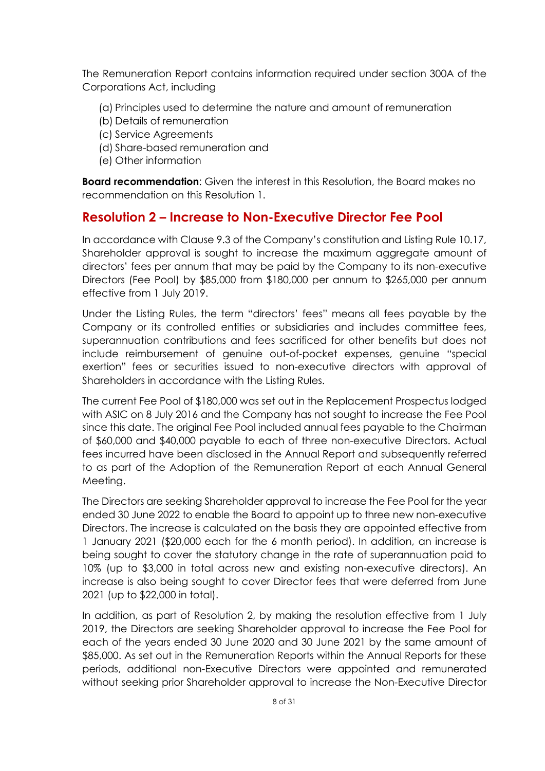The Remuneration Report contains information required under section 300A of the Corporations Act, including

- (a) Principles used to determine the nature and amount of remuneration
- (b) Details of remuneration
- (c) Service Agreements
- (d) Share-based remuneration and
- (e) Other information

**Board recommendation**: Given the interest in this Resolution, the Board makes no recommendation on this Resolution 1.

### **Resolution 2 – Increase to Non-Executive Director Fee Pool**

In accordance with Clause 9.3 of the Company's constitution and Listing Rule 10.17, Shareholder approval is sought to increase the maximum aggregate amount of directors' fees per annum that may be paid by the Company to its non-executive Directors (Fee Pool) by \$85,000 from \$180,000 per annum to \$265,000 per annum effective from 1 July 2019.

Under the Listing Rules, the term "directors' fees" means all fees payable by the Company or its controlled entities or subsidiaries and includes committee fees, superannuation contributions and fees sacrificed for other benefits but does not include reimbursement of genuine out-of-pocket expenses, genuine "special exertion" fees or securities issued to non-executive directors with approval of Shareholders in accordance with the Listing Rules.

The current Fee Pool of \$180,000 was set out in the Replacement Prospectus lodged with ASIC on 8 July 2016 and the Company has not sought to increase the Fee Pool since this date. The original Fee Pool included annual fees payable to the Chairman of \$60,000 and \$40,000 payable to each of three non-executive Directors. Actual fees incurred have been disclosed in the Annual Report and subsequently referred to as part of the Adoption of the Remuneration Report at each Annual General Meeting.

The Directors are seeking Shareholder approval to increase the Fee Pool for the year ended 30 June 2022 to enable the Board to appoint up to three new non-executive Directors. The increase is calculated on the basis they are appointed effective from 1 January 2021 (\$20,000 each for the 6 month period). In addition, an increase is being sought to cover the statutory change in the rate of superannuation paid to 10% (up to \$3,000 in total across new and existing non-executive directors). An increase is also being sought to cover Director fees that were deferred from June 2021 (up to \$22,000 in total).

In addition, as part of Resolution 2, by making the resolution effective from 1 July 2019, the Directors are seeking Shareholder approval to increase the Fee Pool for each of the years ended 30 June 2020 and 30 June 2021 by the same amount of \$85,000. As set out in the Remuneration Reports within the Annual Reports for these periods, additional non-Executive Directors were appointed and remunerated without seeking prior Shareholder approval to increase the Non-Executive Director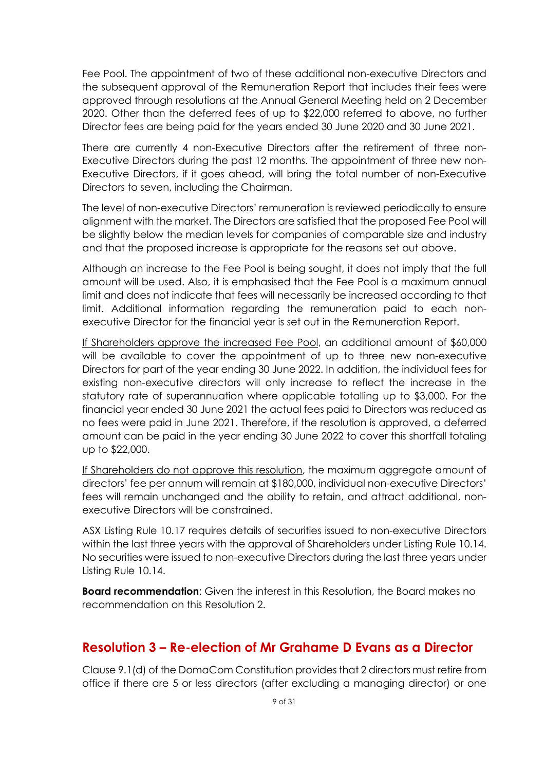Fee Pool. The appointment of two of these additional non-executive Directors and the subsequent approval of the Remuneration Report that includes their fees were approved through resolutions at the Annual General Meeting held on 2 December 2020. Other than the deferred fees of up to \$22,000 referred to above, no further Director fees are being paid for the years ended 30 June 2020 and 30 June 2021.

There are currently 4 non-Executive Directors after the retirement of three non-Executive Directors during the past 12 months. The appointment of three new non-Executive Directors, if it goes ahead, will bring the total number of non-Executive Directors to seven, including the Chairman.

The level of non-executive Directors' remuneration is reviewed periodically to ensure alignment with the market. The Directors are satisfied that the proposed Fee Pool will be slightly below the median levels for companies of comparable size and industry and that the proposed increase is appropriate for the reasons set out above.

Although an increase to the Fee Pool is being sought, it does not imply that the full amount will be used. Also, it is emphasised that the Fee Pool is a maximum annual limit and does not indicate that fees will necessarily be increased according to that limit. Additional information regarding the remuneration paid to each nonexecutive Director for the financial year is set out in the Remuneration Report.

If Shareholders approve the increased Fee Pool, an additional amount of \$60,000 will be available to cover the appointment of up to three new non-executive Directors for part of the year ending 30 June 2022. In addition, the individual fees for existing non-executive directors will only increase to reflect the increase in the statutory rate of superannuation where applicable totalling up to \$3,000. For the financial year ended 30 June 2021 the actual fees paid to Directors was reduced as no fees were paid in June 2021. Therefore, if the resolution is approved, a deferred amount can be paid in the year ending 30 June 2022 to cover this shortfall totaling up to \$22,000.

If Shareholders do not approve this resolution, the maximum aggregate amount of directors' fee per annum will remain at \$180,000, individual non-executive Directors' fees will remain unchanged and the ability to retain, and attract additional, nonexecutive Directors will be constrained.

ASX Listing Rule 10.17 requires details of securities issued to non-executive Directors within the last three years with the approval of Shareholders under Listing Rule 10.14. No securities were issued to non-executive Directors during the last three years under Listing Rule 10.14.

**Board recommendation:** Given the interest in this Resolution, the Board makes no recommendation on this Resolution 2.

## **Resolution 3 – Re-election of Mr Grahame D Evans as a Director**

Clause 9.1(d) of the DomaCom Constitution provides that 2 directors must retire from office if there are 5 or less directors (after excluding a managing director) or one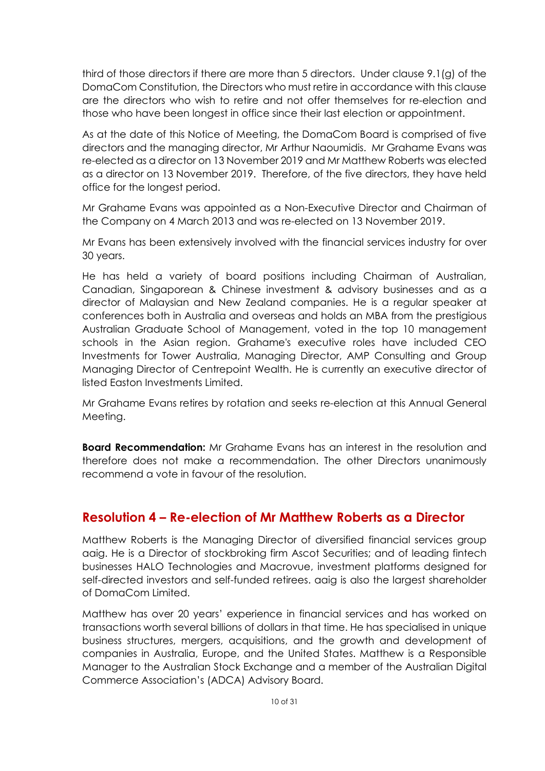third of those directors if there are more than 5 directors. Under clause 9.1(g) of the DomaCom Constitution, the Directors who must retire in accordance with this clause are the directors who wish to retire and not offer themselves for re-election and those who have been longest in office since their last election or appointment.

As at the date of this Notice of Meeting, the DomaCom Board is comprised of five directors and the managing director, Mr Arthur Naoumidis. Mr Grahame Evans was re-elected as a director on 13 November 2019 and Mr Matthew Roberts was elected as a director on 13 November 2019. Therefore, of the five directors, they have held office for the longest period.

Mr Grahame Evans was appointed as a Non-Executive Director and Chairman of the Company on 4 March 2013 and was re-elected on 13 November 2019.

Mr Evans has been extensively involved with the financial services industry for over 30 years.

He has held a variety of board positions including Chairman of Australian, Canadian, Singaporean & Chinese investment & advisory businesses and as a director of Malaysian and New Zealand companies. He is a regular speaker at conferences both in Australia and overseas and holds an MBA from the prestigious Australian Graduate School of Management, voted in the top 10 management schools in the Asian region. Grahame's executive roles have included CEO Investments for Tower Australia, Managing Director, AMP Consulting and Group Managing Director of Centrepoint Wealth. He is currently an executive director of listed Easton Investments Limited.

Mr Grahame Evans retires by rotation and seeks re-election at this Annual General Meeting.

**Board Recommendation:** Mr Grahame Evans has an interest in the resolution and therefore does not make a recommendation. The other Directors unanimously recommend a vote in favour of the resolution.

## **Resolution 4 – Re-election of Mr Matthew Roberts as a Director**

Matthew Roberts is the Managing Director of diversified financial services group aaig. He is a Director of stockbroking firm Ascot Securities; and of leading fintech businesses HALO Technologies and Macrovue, investment platforms designed for self-directed investors and self-funded retirees. aaig is also the largest shareholder of DomaCom Limited.

Matthew has over 20 years' experience in financial services and has worked on transactions worth several billions of dollars in that time. He has specialised in unique business structures, mergers, acquisitions, and the growth and development of companies in Australia, Europe, and the United States. Matthew is a Responsible Manager to the Australian Stock Exchange and a member of the Australian Digital Commerce Association's (ADCA) Advisory Board.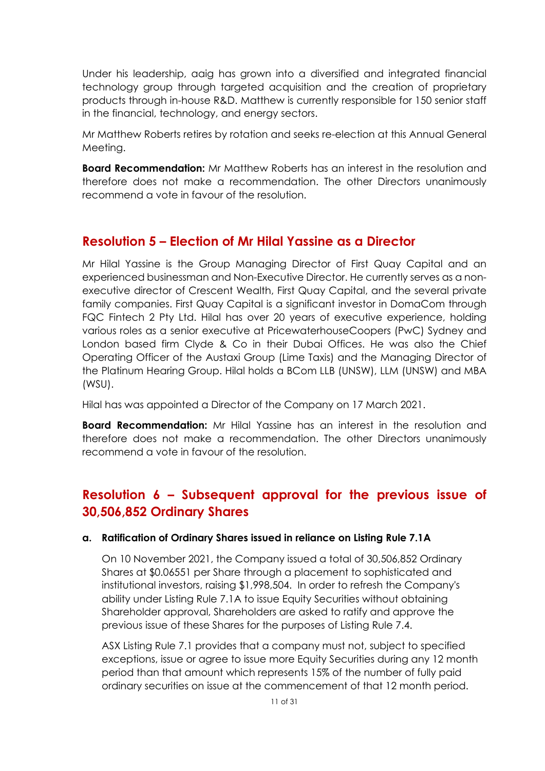Under his leadership, aaig has grown into a diversified and integrated financial technology group through targeted acquisition and the creation of proprietary products through in-house R&D. Matthew is currently responsible for 150 senior staff in the financial, technology, and energy sectors.

Mr Matthew Roberts retires by rotation and seeks re-election at this Annual General Meeting.

**Board Recommendation:** Mr Matthew Roberts has an interest in the resolution and therefore does not make a recommendation. The other Directors unanimously recommend a vote in favour of the resolution.

## **Resolution 5 – Election of Mr Hilal Yassine as a Director**

Mr Hilal Yassine is the Group Managing Director of First Quay Capital and an experienced businessman and Non-Executive Director. He currently serves as a nonexecutive director of Crescent Wealth, First Quay Capital, and the several private family companies. First Quay Capital is a significant investor in DomaCom through FQC Fintech 2 Pty Ltd. Hilal has over 20 years of executive experience, holding various roles as a senior executive at PricewaterhouseCoopers (PwC) Sydney and London based firm Clyde & Co in their Dubai Offices. He was also the Chief Operating Officer of the Austaxi Group (Lime Taxis) and the Managing Director of the Platinum Hearing Group. Hilal holds a BCom LLB (UNSW), LLM (UNSW) and MBA (WSU).

Hilal has was appointed a Director of the Company on 17 March 2021.

**Board Recommendation:** Mr Hilal Yassine has an interest in the resolution and therefore does not make a recommendation. The other Directors unanimously recommend a vote in favour of the resolution.

## **Resolution 6 – Subsequent approval for the previous issue of 30,506,852 Ordinary Shares**

#### **a. Ratification of Ordinary Shares issued in reliance on Listing Rule 7.1A**

On 10 November 2021, the Company issued a total of 30,506,852 Ordinary Shares at \$0.06551 per Share through a placement to sophisticated and institutional investors, raising \$1,998,504. In order to refresh the Company's ability under Listing Rule 7.1A to issue Equity Securities without obtaining Shareholder approval, Shareholders are asked to ratify and approve the previous issue of these Shares for the purposes of Listing Rule 7.4.

ASX Listing Rule 7.1 provides that a company must not, subject to specified exceptions, issue or agree to issue more Equity Securities during any 12 month period than that amount which represents 15% of the number of fully paid ordinary securities on issue at the commencement of that 12 month period.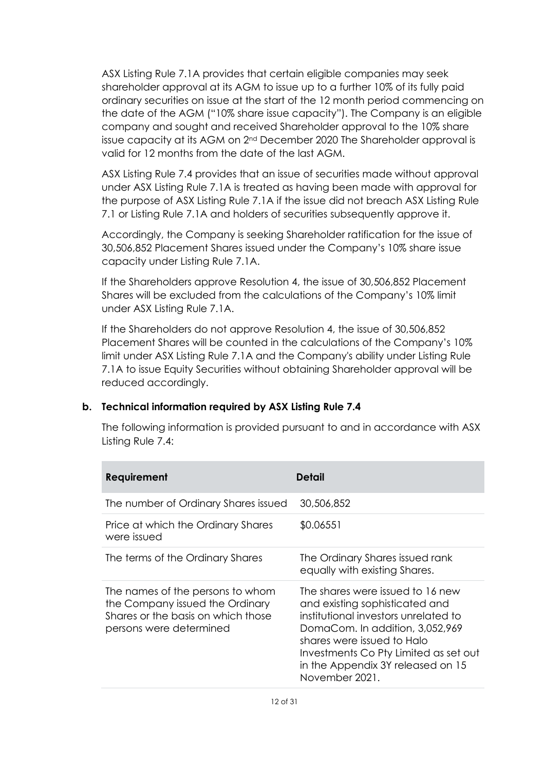ASX Listing Rule 7.1A provides that certain eligible companies may seek shareholder approval at its AGM to issue up to a further 10% of its fully paid ordinary securities on issue at the start of the 12 month period commencing on the date of the AGM ("10% share issue capacity"). The Company is an eligible company and sought and received Shareholder approval to the 10% share issue capacity at its AGM on 2<sup>nd</sup> December 2020 The Shareholder approval is valid for 12 months from the date of the last AGM.

ASX Listing Rule 7.4 provides that an issue of securities made without approval under ASX Listing Rule 7.1A is treated as having been made with approval for the purpose of ASX Listing Rule 7.1A if the issue did not breach ASX Listing Rule 7.1 or Listing Rule 7.1A and holders of securities subsequently approve it.

Accordingly, the Company is seeking Shareholder ratification for the issue of 30,506,852 Placement Shares issued under the Company's 10% share issue capacity under Listing Rule 7.1A.

If the Shareholders approve Resolution 4, the issue of 30,506,852 Placement Shares will be excluded from the calculations of the Company's 10% limit under ASX Listing Rule 7.1A.

If the Shareholders do not approve Resolution 4, the issue of 30,506,852 Placement Shares will be counted in the calculations of the Company's 10% limit under ASX Listing Rule 7.1A and the Company's ability under Listing Rule 7.1A to issue Equity Securities without obtaining Shareholder approval will be reduced accordingly.

#### **b. Technical information required by ASX Listing Rule 7.4**

The following information is provided pursuant to and in accordance with ASX Listing Rule 7.4:

| Requirement                                                                                                                          | Detail                                                                                                                                                                                                                                                                      |
|--------------------------------------------------------------------------------------------------------------------------------------|-----------------------------------------------------------------------------------------------------------------------------------------------------------------------------------------------------------------------------------------------------------------------------|
| The number of Ordinary Shares issued                                                                                                 | 30,506,852                                                                                                                                                                                                                                                                  |
| Price at which the Ordinary Shares<br>were issued                                                                                    | \$0.06551                                                                                                                                                                                                                                                                   |
| The terms of the Ordinary Shares                                                                                                     | The Ordinary Shares issued rank<br>equally with existing Shares.                                                                                                                                                                                                            |
| The names of the persons to whom<br>the Company issued the Ordinary<br>Shares or the basis on which those<br>persons were determined | The shares were issued to 16 new<br>and existing sophisticated and<br>institutional investors unrelated to<br>DomaCom. In addition, 3,052,969<br>shares were issued to Halo<br>Investments Co Pty Limited as set out<br>in the Appendix 3Y released on 15<br>November 2021. |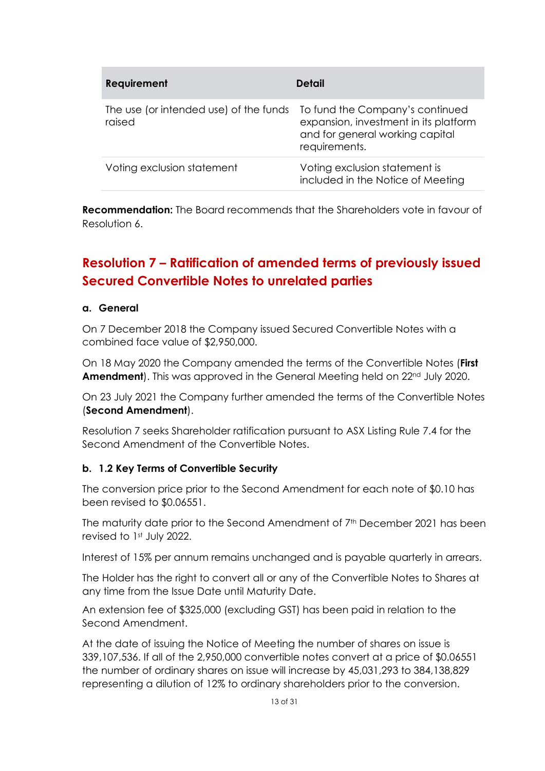| <b>Requirement</b>                               | Detail                                                                                                                       |
|--------------------------------------------------|------------------------------------------------------------------------------------------------------------------------------|
| The use (or intended use) of the funds<br>raised | To fund the Company's continued<br>expansion, investment in its platform<br>and for general working capital<br>requirements. |
| Voting exclusion statement                       | Voting exclusion statement is<br>included in the Notice of Meeting                                                           |

**Recommendation:** The Board recommends that the Shareholders vote in favour of Resolution 6.

# **Resolution 7 – Ratification of amended terms of previously issued Secured Convertible Notes to unrelated parties**

#### **a. General**

On 7 December 2018 the Company issued Secured Convertible Notes with a combined face value of \$2,950,000.

On 18 May 2020 the Company amended the terms of the Convertible Notes (**First Amendment**). This was approved in the General Meeting held on 22<sup>nd</sup> July 2020.

On 23 July 2021 the Company further amended the terms of the Convertible Notes (**Second Amendment**).

Resolution 7 seeks Shareholder ratification pursuant to ASX Listing Rule 7.4 for the Second Amendment of the Convertible Notes.

#### **b. 1.2 Key Terms of Convertible Security**

The conversion price prior to the Second Amendment for each note of \$0.10 has been revised to \$0.06551.

The maturity date prior to the Second Amendment of 7<sup>th</sup> December 2021 has been revised to 1st July 2022.

Interest of 15% per annum remains unchanged and is payable quarterly in arrears.

The Holder has the right to convert all or any of the Convertible Notes to Shares at any time from the Issue Date until Maturity Date.

An extension fee of \$325,000 (excluding GST) has been paid in relation to the Second Amendment.

At the date of issuing the Notice of Meeting the number of shares on issue is 339,107,536. If all of the 2,950,000 convertible notes convert at a price of \$0.06551 the number of ordinary shares on issue will increase by 45,031,293 to 384,138,829 representing a dilution of 12% to ordinary shareholders prior to the conversion.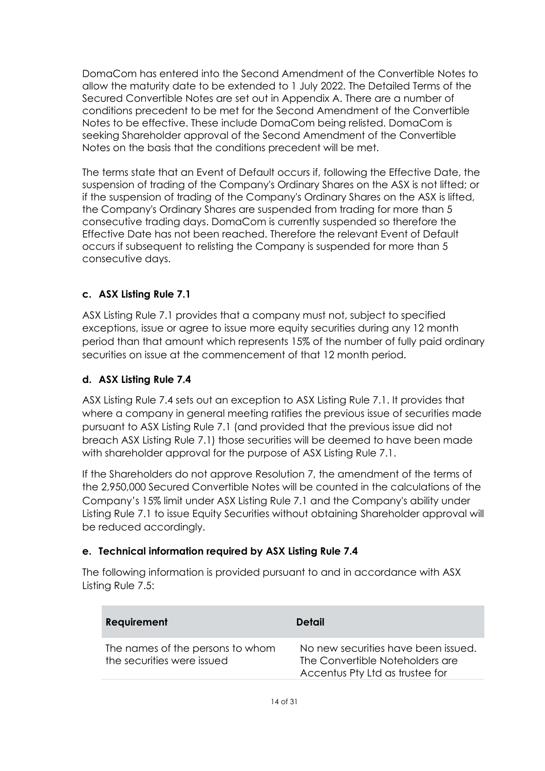DomaCom has entered into the Second Amendment of the Convertible Notes to allow the maturity date to be extended to 1 July 2022. The Detailed Terms of the Secured Convertible Notes are set out in Appendix A. There are a number of conditions precedent to be met for the Second Amendment of the Convertible Notes to be effective. These include DomaCom being relisted. DomaCom is seeking Shareholder approval of the Second Amendment of the Convertible Notes on the basis that the conditions precedent will be met.

The terms state that an Event of Default occurs if, following the Effective Date, the suspension of trading of the Company's Ordinary Shares on the ASX is not lifted; or if the suspension of trading of the Company's Ordinary Shares on the ASX is lifted, the Company's Ordinary Shares are suspended from trading for more than 5 consecutive trading days. DomaCom is currently suspended so therefore the Effective Date has not been reached. Therefore the relevant Event of Default occurs if subsequent to relisting the Company is suspended for more than 5 consecutive days.

#### **c. ASX Listing Rule 7.1**

ASX Listing Rule 7.1 provides that a company must not, subject to specified exceptions, issue or agree to issue more equity securities during any 12 month period than that amount which represents 15% of the number of fully paid ordinary securities on issue at the commencement of that 12 month period.

#### **d. ASX Listing Rule 7.4**

ASX Listing Rule 7.4 sets out an exception to ASX Listing Rule 7.1. It provides that where a company in general meeting ratifies the previous issue of securities made pursuant to ASX Listing Rule 7.1 (and provided that the previous issue did not breach ASX Listing Rule 7.1) those securities will be deemed to have been made with shareholder approval for the purpose of ASX Listing Rule 7.1.

If the Shareholders do not approve Resolution 7, the amendment of the terms of the 2,950,000 Secured Convertible Notes will be counted in the calculations of the Company's 15% limit under ASX Listing Rule 7.1 and the Company's ability under Listing Rule 7.1 to issue Equity Securities without obtaining Shareholder approval will be reduced accordingly.

#### **e. Technical information required by ASX Listing Rule 7.4**

The following information is provided pursuant to and in accordance with ASX Listing Rule 7.5:

| <b>Requirement</b>                                             | Detail                                                                                                    |
|----------------------------------------------------------------|-----------------------------------------------------------------------------------------------------------|
| The names of the persons to whom<br>the securities were issued | No new securities have been issued.<br>The Convertible Noteholders are<br>Accentus Pty Ltd as trustee for |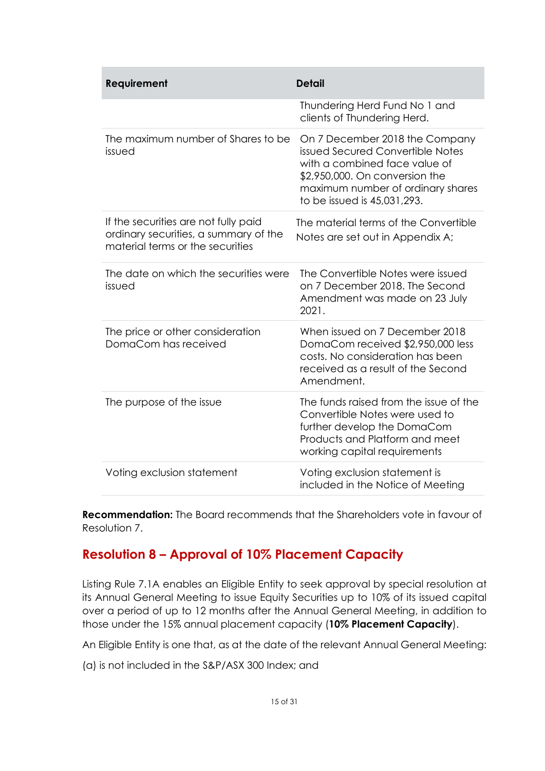| Requirement                                                                                                       | <b>Detail</b>                                                                                                                                                                                             |
|-------------------------------------------------------------------------------------------------------------------|-----------------------------------------------------------------------------------------------------------------------------------------------------------------------------------------------------------|
|                                                                                                                   | Thundering Herd Fund No 1 and<br>clients of Thundering Herd.                                                                                                                                              |
| The maximum number of Shares to be<br>issued                                                                      | On 7 December 2018 the Company<br>issued Secured Convertible Notes<br>with a combined face value of<br>\$2,950,000. On conversion the<br>maximum number of ordinary shares<br>to be issued is 45,031,293. |
| If the securities are not fully paid<br>ordinary securities, a summary of the<br>material terms or the securities | The material terms of the Convertible<br>Notes are set out in Appendix A;                                                                                                                                 |
| The date on which the securities were<br>issued                                                                   | The Convertible Notes were issued<br>on 7 December 2018. The Second<br>Amendment was made on 23 July<br>2021.                                                                                             |
| The price or other consideration<br>DomaCom has received                                                          | When issued on 7 December 2018<br>DomaCom received \$2,950,000 less<br>costs. No consideration has been<br>received as a result of the Second<br>Amendment.                                               |
| The purpose of the issue                                                                                          | The funds raised from the issue of the<br>Convertible Notes were used to<br>further develop the DomaCom<br>Products and Platform and meet<br>working capital requirements                                 |
| Voting exclusion statement                                                                                        | Voting exclusion statement is<br>included in the Notice of Meeting                                                                                                                                        |

**Recommendation:** The Board recommends that the Shareholders vote in favour of Resolution 7.

## **Resolution 8 – Approval of 10% Placement Capacity**

Listing Rule 7.1A enables an Eligible Entity to seek approval by special resolution at its Annual General Meeting to issue Equity Securities up to 10% of its issued capital over a period of up to 12 months after the Annual General Meeting, in addition to those under the 15% annual placement capacity (**10% Placement Capacity**).

An Eligible Entity is one that, as at the date of the relevant Annual General Meeting:

(a) is not included in the S&P/ASX 300 Index; and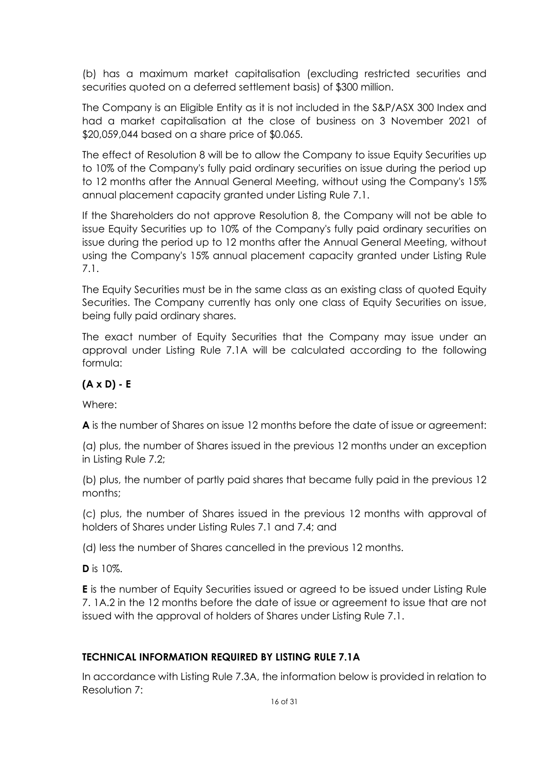(b) has a maximum market capitalisation (excluding restricted securities and securities quoted on a deferred settlement basis) of \$300 million.

The Company is an Eligible Entity as it is not included in the S&P/ASX 300 Index and had a market capitalisation at the close of business on 3 November 2021 of \$20,059,044 based on a share price of \$0.065.

The effect of Resolution 8 will be to allow the Company to issue Equity Securities up to 10% of the Company's fully paid ordinary securities on issue during the period up to 12 months after the Annual General Meeting, without using the Company's 15% annual placement capacity granted under Listing Rule 7.1.

If the Shareholders do not approve Resolution 8, the Company will not be able to issue Equity Securities up to 10% of the Company's fully paid ordinary securities on issue during the period up to 12 months after the Annual General Meeting, without using the Company's 15% annual placement capacity granted under Listing Rule 7.1.

The Equity Securities must be in the same class as an existing class of quoted Equity Securities. The Company currently has only one class of Equity Securities on issue, being fully paid ordinary shares.

The exact number of Equity Securities that the Company may issue under an approval under Listing Rule 7.1A will be calculated according to the following formula:

#### **(A x D) - E**

Where:

**A** is the number of Shares on issue 12 months before the date of issue or agreement:

(a) plus, the number of Shares issued in the previous 12 months under an exception in Listing Rule 7.2;

(b) plus, the number of partly paid shares that became fully paid in the previous 12 months;

(c) plus, the number of Shares issued in the previous 12 months with approval of holders of Shares under Listing Rules 7.1 and 7.4; and

(d) less the number of Shares cancelled in the previous 12 months.

**D** is 10%.

**E** is the number of Equity Securities issued or agreed to be issued under Listing Rule 7. 1A.2 in the 12 months before the date of issue or agreement to issue that are not issued with the approval of holders of Shares under Listing Rule 7.1.

#### **TECHNICAL INFORMATION REQUIRED BY LISTING RULE 7.1A**

In accordance with Listing Rule 7.3A, the information below is provided in relation to Resolution 7: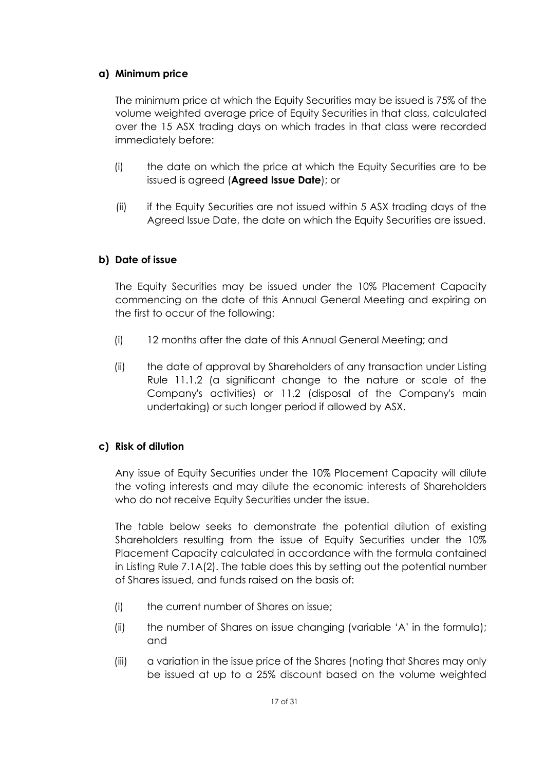#### **a) Minimum price**

The minimum price at which the Equity Securities may be issued is 75% of the volume weighted average price of Equity Securities in that class, calculated over the 15 ASX trading days on which trades in that class were recorded immediately before:

- (i) the date on which the price at which the Equity Securities are to be issued is agreed (**Agreed Issue Date**); or
- (ii) if the Equity Securities are not issued within 5 ASX trading days of the Agreed Issue Date, the date on which the Equity Securities are issued.

#### **b) Date of issue**

The Equity Securities may be issued under the 10% Placement Capacity commencing on the date of this Annual General Meeting and expiring on the first to occur of the following:

- (i) 12 months after the date of this Annual General Meeting; and
- (ii) the date of approval by Shareholders of any transaction under Listing Rule 11.1.2 (a significant change to the nature or scale of the Company's activities) or 11.2 (disposal of the Company's main undertaking) or such longer period if allowed by ASX.

#### **c) Risk of dilution**

Any issue of Equity Securities under the 10% Placement Capacity will dilute the voting interests and may dilute the economic interests of Shareholders who do not receive Equity Securities under the issue.

The table below seeks to demonstrate the potential dilution of existing Shareholders resulting from the issue of Equity Securities under the 10% Placement Capacity calculated in accordance with the formula contained in Listing Rule 7.1A(2). The table does this by setting out the potential number of Shares issued, and funds raised on the basis of:

- (i) the current number of Shares on issue;
- (ii) the number of Shares on issue changing (variable 'A' in the formula); and
- (iii) a variation in the issue price of the Shares (noting that Shares may only be issued at up to a 25% discount based on the volume weighted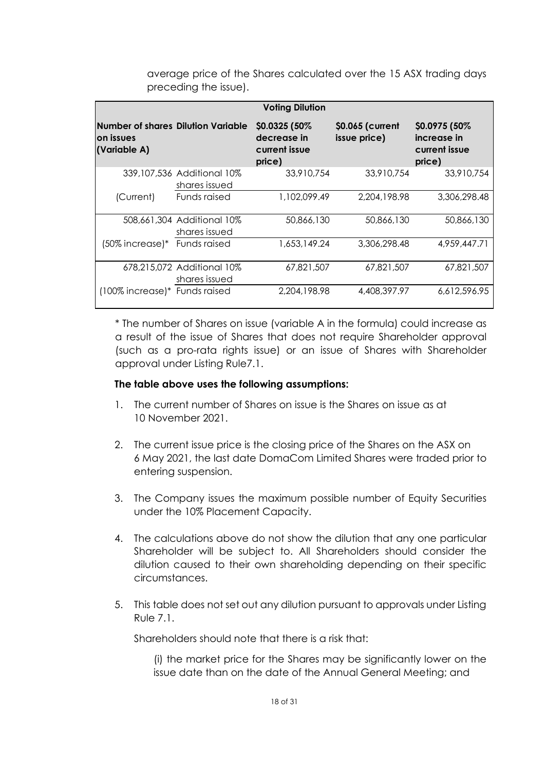|                                                                  |                                             | <b>Voting Dilution</b>                                   |                                  |                                                          |
|------------------------------------------------------------------|---------------------------------------------|----------------------------------------------------------|----------------------------------|----------------------------------------------------------|
| Number of shares Dilution Variable<br>lon issues<br>(Variable A) |                                             | \$0.0325 (50%)<br>decrease in<br>current issue<br>price) | \$0.065 (current<br>issue price) | \$0.0975 (50%)<br>increase in<br>current issue<br>price) |
|                                                                  | 339,107,536 Additional 10%<br>shares issued | 33,910,754                                               | 33,910,754                       | 33,910,754                                               |
| (Current)                                                        | Funds raised                                | 1,102,099.49                                             | 2.204.198.98                     | 3,306,298,48                                             |
|                                                                  | 508,661,304 Additional 10%<br>shares issued | 50,866,130                                               | 50,866,130                       | 50,866,130                                               |
| (50% increase)* Funds raised                                     |                                             | 1,653,149.24                                             | 3,306,298.48                     | 4,959,447.71                                             |
|                                                                  | 678,215,072 Additional 10%<br>shares issued | 67.821.507                                               | 67,821,507                       | 67.821.507                                               |
| (100% increase)* Funds raised                                    |                                             | 2,204,198.98                                             | 4,408,397.97                     | 6,612,596.95                                             |

average price of the Shares calculated over the 15 ASX trading days preceding the issue).

\* The number of Shares on issue (variable A in the formula) could increase as a result of the issue of Shares that does not require Shareholder approval (such as a pro-rata rights issue) or an issue of Shares with Shareholder approval under Listing Rule7.1.

#### **The table above uses the following assumptions:**

- 1. The current number of Shares on issue is the Shares on issue as at 10 November 2021.
- 2. The current issue price is the closing price of the Shares on the ASX on 6 May 2021, the last date DomaCom Limited Shares were traded prior to entering suspension.
- 3. The Company issues the maximum possible number of Equity Securities under the 10% Placement Capacity.
- 4. The calculations above do not show the dilution that any one particular Shareholder will be subject to. All Shareholders should consider the dilution caused to their own shareholding depending on their specific circumstances.
- 5. This table does not set out any dilution pursuant to approvals under Listing Rule 7.1.

Shareholders should note that there is a risk that:

(i) the market price for the Shares may be significantly lower on the issue date than on the date of the Annual General Meeting; and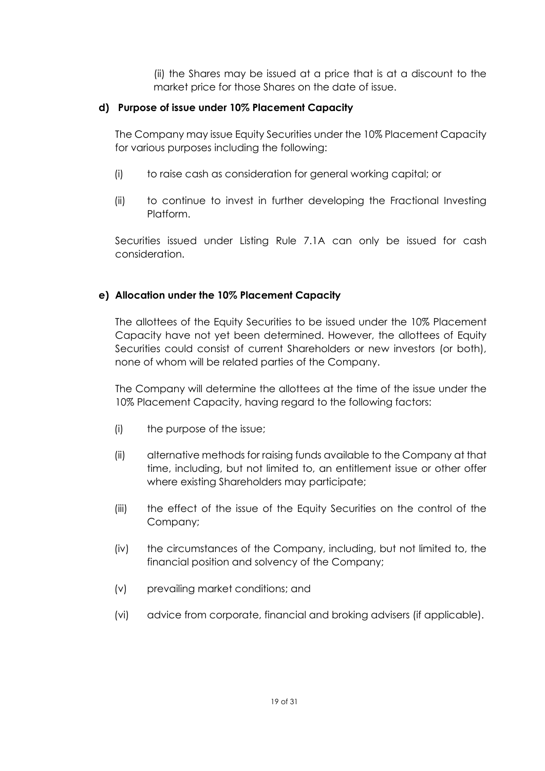(ii) the Shares may be issued at a price that is at a discount to the market price for those Shares on the date of issue.

#### **d) Purpose of issue under 10% Placement Capacity**

The Company may issue Equity Securities under the 10% Placement Capacity for various purposes including the following:

- (i) to raise cash as consideration for general working capital; or
- (ii) to continue to invest in further developing the Fractional Investing Platform.

Securities issued under Listing Rule 7.1A can only be issued for cash consideration.

#### **e) Allocation under the 10% Placement Capacity**

The allottees of the Equity Securities to be issued under the 10% Placement Capacity have not yet been determined. However, the allottees of Equity Securities could consist of current Shareholders or new investors (or both), none of whom will be related parties of the Company.

The Company will determine the allottees at the time of the issue under the 10% Placement Capacity, having regard to the following factors:

- (i) the purpose of the issue;
- (ii) alternative methods for raising funds available to the Company at that time, including, but not limited to, an entitlement issue or other offer where existing Shareholders may participate;
- (iii) the effect of the issue of the Equity Securities on the control of the Company;
- (iv) the circumstances of the Company, including, but not limited to, the financial position and solvency of the Company;
- (v) prevailing market conditions; and
- (vi) advice from corporate, financial and broking advisers (if applicable).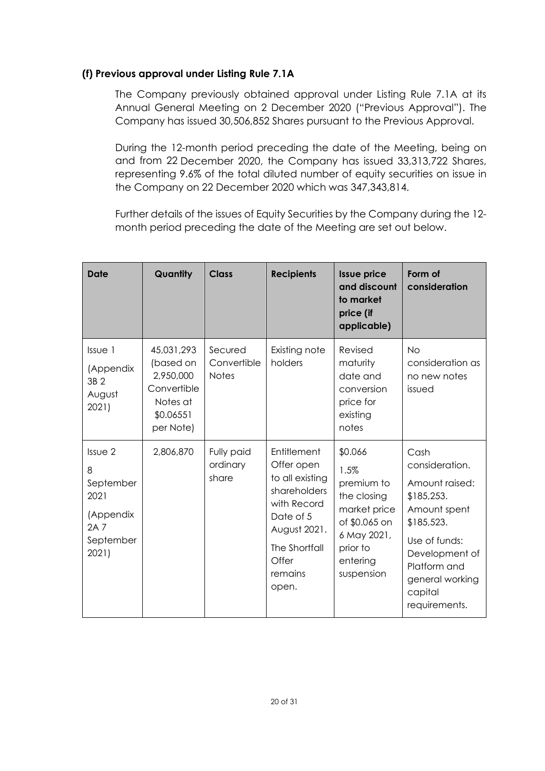#### **(f) Previous approval under Listing Rule 7.1A**

The Company previously obtained approval under Listing Rule 7.1A at its Annual General Meeting on 2 December 2020 ("Previous Approval"). The Company has issued 30,506,852 Shares pursuant to the Previous Approval.

During the 12-month period preceding the date of the Meeting, being on and from 22 December 2020, the Company has issued 33,313,722 Shares, representing 9.6% of the total diluted number of equity securities on issue in the Company on 22 December 2020 which was 347,343,814.

Further details of the issues of Equity Securities by the Company during the 12 month period preceding the date of the Meeting are set out below.

| <b>Date</b>                                                                  | Quantity                                                                                  | <b>Class</b>                           | <b>Recipients</b>                                                                                                                                      | <b>Issue price</b><br>and discount<br>to market<br>price (if<br>applicable)                                                        | Form of<br>consideration                                                                                                                                                               |
|------------------------------------------------------------------------------|-------------------------------------------------------------------------------------------|----------------------------------------|--------------------------------------------------------------------------------------------------------------------------------------------------------|------------------------------------------------------------------------------------------------------------------------------------|----------------------------------------------------------------------------------------------------------------------------------------------------------------------------------------|
| Issue 1<br>(Appendix<br>3B 2<br>August<br>2021)                              | 45,031,293<br>(based on<br>2,950,000<br>Convertible<br>Notes at<br>\$0.06551<br>per Note) | Secured<br>Convertible<br><b>Notes</b> | Existing note<br>holders                                                                                                                               | Revised<br>maturity<br>date and<br>conversion<br>price for<br>existing<br>notes                                                    | <b>No</b><br>consideration as<br>no new notes<br>issued                                                                                                                                |
| Issue 2<br>8<br>September<br>2021<br>(Appendix<br>2A 7<br>September<br>2021) | 2,806,870                                                                                 | Fully paid<br>ordinary<br>share        | Entitlement<br>Offer open<br>to all existing<br>shareholders<br>with Record<br>Date of 5<br>August 2021.<br>The Shortfall<br>Offer<br>remains<br>open. | \$0.066<br>1.5%<br>premium to<br>the closing<br>market price<br>of \$0.065 on<br>6 May 2021,<br>prior to<br>entering<br>suspension | Cash<br>consideration.<br>Amount raised:<br>\$185,253.<br>Amount spent<br>\$185,523.<br>Use of funds:<br>Development of<br>Platform and<br>general working<br>capital<br>requirements. |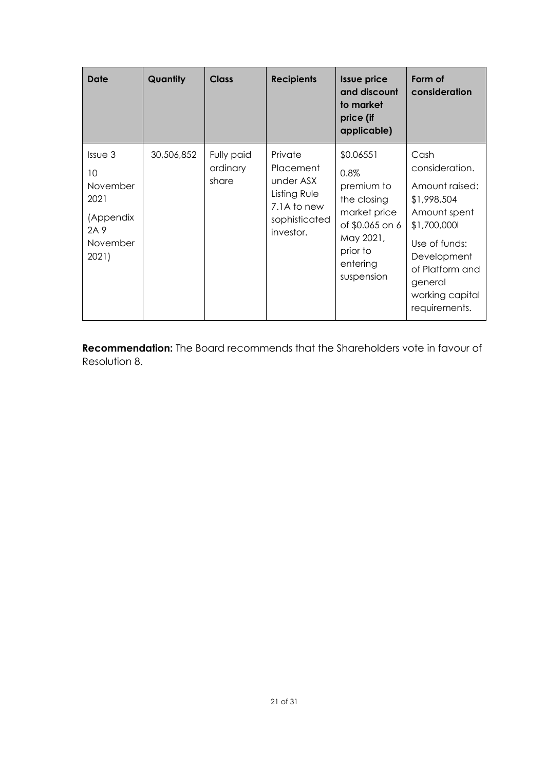| Date                                                                                               | Quantity   | <b>Class</b>                    | <b>Recipients</b>                                                                                     | <b>Issue price</b><br>and discount<br>to market<br>price (if<br>applicable)                                                          | Form of<br>consideration                                                                                                                                                                  |
|----------------------------------------------------------------------------------------------------|------------|---------------------------------|-------------------------------------------------------------------------------------------------------|--------------------------------------------------------------------------------------------------------------------------------------|-------------------------------------------------------------------------------------------------------------------------------------------------------------------------------------------|
| Is <sub>U</sub> e <sub>3</sub><br>10<br>November<br>2021<br>(Appendix<br>2A 9<br>November<br>2021) | 30,506,852 | Fully paid<br>ordinary<br>share | Private<br><b>Placement</b><br>under ASX<br>Listing Rule<br>7.1A to new<br>sophisticated<br>investor. | \$0.06551<br>0.8%<br>premium to<br>the closing<br>market price<br>of \$0.065 on 6<br>May 2021,<br>prior to<br>entering<br>suspension | Cash<br>consideration.<br>Amount raised:<br>\$1,998,504<br>Amount spent<br>\$1,700,000l<br>Use of funds:<br>Development<br>of Platform and<br>general<br>working capital<br>requirements. |

**Recommendation:** The Board recommends that the Shareholders vote in favour of Resolution 8.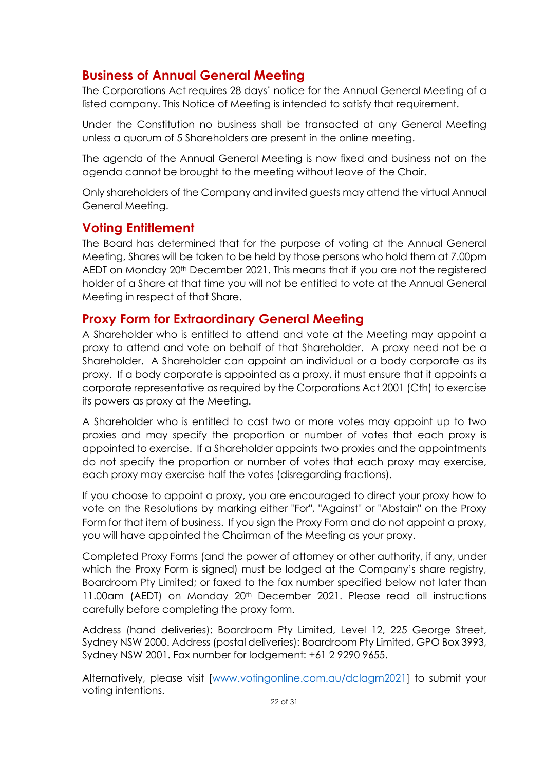## **Business of Annual General Meeting**

The Corporations Act requires 28 days' notice for the Annual General Meeting of a listed company. This Notice of Meeting is intended to satisfy that requirement.

Under the Constitution no business shall be transacted at any General Meeting unless a quorum of 5 Shareholders are present in the online meeting.

The agenda of the Annual General Meeting is now fixed and business not on the agenda cannot be brought to the meeting without leave of the Chair.

Only shareholders of the Company and invited guests may attend the virtual Annual General Meeting.

### **Voting Entitlement**

The Board has determined that for the purpose of voting at the Annual General Meeting, Shares will be taken to be held by those persons who hold them at 7.00pm AEDT on Monday 20th December 2021. This means that if you are not the registered holder of a Share at that time you will not be entitled to vote at the Annual General Meeting in respect of that Share.

#### **Proxy Form for Extraordinary General Meeting**

A Shareholder who is entitled to attend and vote at the Meeting may appoint a proxy to attend and vote on behalf of that Shareholder. A proxy need not be a Shareholder. A Shareholder can appoint an individual or a body corporate as its proxy. If a body corporate is appointed as a proxy, it must ensure that it appoints a corporate representative as required by the Corporations Act 2001 (Cth) to exercise its powers as proxy at the Meeting.

A Shareholder who is entitled to cast two or more votes may appoint up to two proxies and may specify the proportion or number of votes that each proxy is appointed to exercise. If a Shareholder appoints two proxies and the appointments do not specify the proportion or number of votes that each proxy may exercise, each proxy may exercise half the votes (disregarding fractions).

If you choose to appoint a proxy, you are encouraged to direct your proxy how to vote on the Resolutions by marking either "For", "Against" or "Abstain" on the Proxy Form for that item of business. If you sign the Proxy Form and do not appoint a proxy, you will have appointed the Chairman of the Meeting as your proxy.

Completed Proxy Forms (and the power of attorney or other authority, if any, under which the Proxy Form is signed) must be lodged at the Company's share registry, Boardroom Pty Limited; or faxed to the fax number specified below not later than 11.00am (AEDT) on Monday 20th December 2021. Please read all instructions carefully before completing the proxy form.

Address (hand deliveries): Boardroom Pty Limited, Level 12, 225 George Street, Sydney NSW 2000. Address (postal deliveries): Boardroom Pty Limited, GPO Box 3993, Sydney NSW 2001. Fax number for lodgement: +61 2 9290 9655.

Alternatively, please visit [\[www.votingonline.com.au/dclagm2021\]](http://www.votingonline.com.au/dclagm2021) to submit your voting intentions.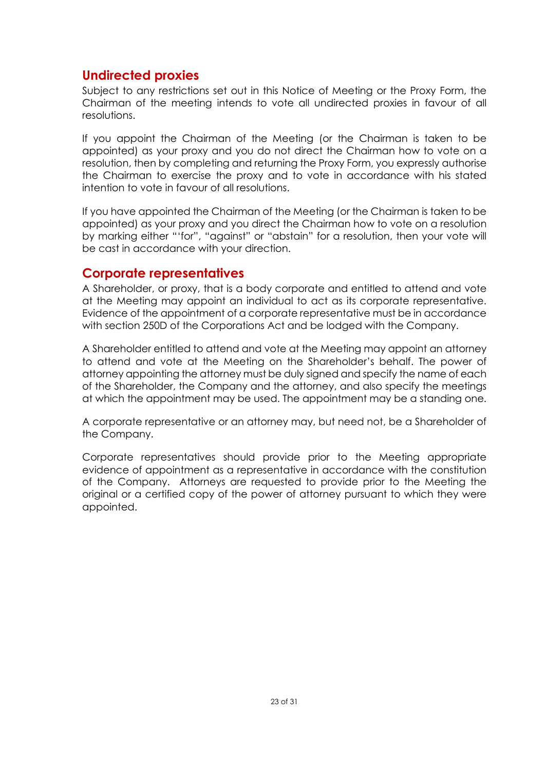## **Undirected proxies**

Subject to any restrictions set out in this Notice of Meeting or the Proxy Form, the Chairman of the meeting intends to vote all undirected proxies in favour of all resolutions.

If you appoint the Chairman of the Meeting (or the Chairman is taken to be appointed) as your proxy and you do not direct the Chairman how to vote on a resolution, then by completing and returning the Proxy Form, you expressly authorise the Chairman to exercise the proxy and to vote in accordance with his stated intention to vote in favour of all resolutions.

If you have appointed the Chairman of the Meeting (or the Chairman is taken to be appointed) as your proxy and you direct the Chairman how to vote on a resolution by marking either "'for", "against" or "abstain" for a resolution, then your vote will be cast in accordance with your direction.

#### **Corporate representatives**

A Shareholder, or proxy, that is a body corporate and entitled to attend and vote at the Meeting may appoint an individual to act as its corporate representative. Evidence of the appointment of a corporate representative must be in accordance with section 250D of the Corporations Act and be lodged with the Company.

A Shareholder entitled to attend and vote at the Meeting may appoint an attorney to attend and vote at the Meeting on the Shareholder's behalf. The power of attorney appointing the attorney must be duly signed and specify the name of each of the Shareholder, the Company and the attorney, and also specify the meetings at which the appointment may be used. The appointment may be a standing one.

A corporate representative or an attorney may, but need not, be a Shareholder of the Company.

Corporate representatives should provide prior to the Meeting appropriate evidence of appointment as a representative in accordance with the constitution of the Company. Attorneys are requested to provide prior to the Meeting the original or a certified copy of the power of attorney pursuant to which they were appointed.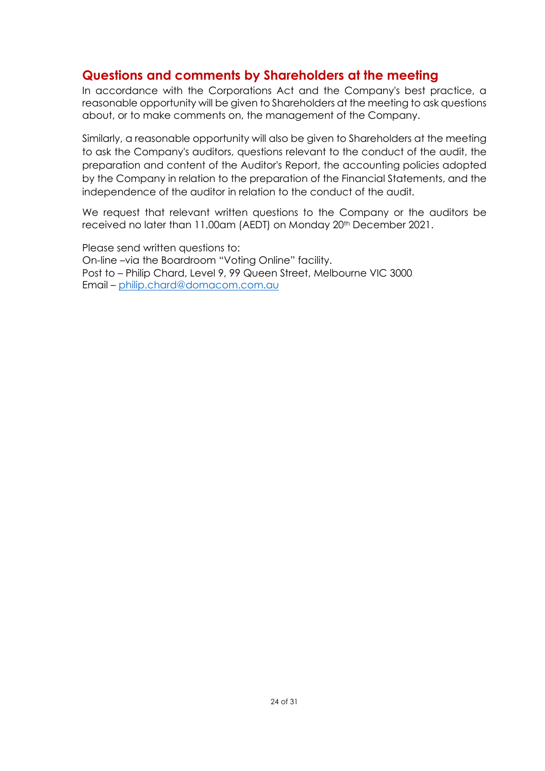## **Questions and comments by Shareholders at the meeting**

In accordance with the Corporations Act and the Company's best practice, a reasonable opportunity will be given to Shareholders at the meeting to ask questions about, or to make comments on, the management of the Company.

Similarly, a reasonable opportunity will also be given to Shareholders at the meeting to ask the Company's auditors, questions relevant to the conduct of the audit, the preparation and content of the Auditor's Report, the accounting policies adopted by the Company in relation to the preparation of the Financial Statements, and the independence of the auditor in relation to the conduct of the audit.

We request that relevant written questions to the Company or the auditors be received no later than 11.00am (AEDT) on Monday 20<sup>th</sup> December 2021.

Please send written questions to: On-line –via the Boardroom "Voting Online" facility. Post to – Philip Chard, Level 9, 99 Queen Street, Melbourne VIC 3000 Email – [philip.chard@domacom.com.au](mailto:philip.chard@domacom.com.au)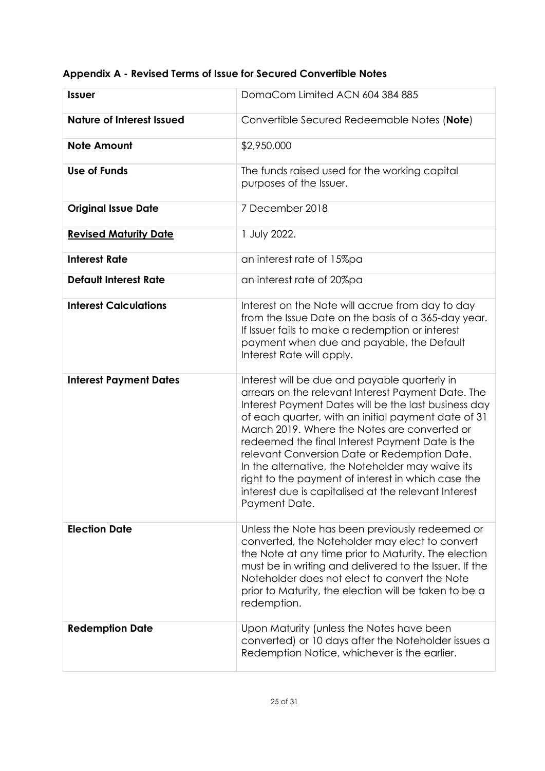| <b>Issuer</b>                    | DomaCom Limited ACN 604 384 885                                                                                                                                                                                                                                                                                                                                                                                                                                                                                                                          |
|----------------------------------|----------------------------------------------------------------------------------------------------------------------------------------------------------------------------------------------------------------------------------------------------------------------------------------------------------------------------------------------------------------------------------------------------------------------------------------------------------------------------------------------------------------------------------------------------------|
| <b>Nature of Interest Issued</b> | Convertible Secured Redeemable Notes (Note)                                                                                                                                                                                                                                                                                                                                                                                                                                                                                                              |
| <b>Note Amount</b>               | \$2,950,000                                                                                                                                                                                                                                                                                                                                                                                                                                                                                                                                              |
| <b>Use of Funds</b>              | The funds raised used for the working capital<br>purposes of the Issuer.                                                                                                                                                                                                                                                                                                                                                                                                                                                                                 |
| <b>Original Issue Date</b>       | 7 December 2018                                                                                                                                                                                                                                                                                                                                                                                                                                                                                                                                          |
| <b>Revised Maturity Date</b>     | 1 July 2022.                                                                                                                                                                                                                                                                                                                                                                                                                                                                                                                                             |
| <b>Interest Rate</b>             | an interest rate of 15%pa                                                                                                                                                                                                                                                                                                                                                                                                                                                                                                                                |
| <b>Default Interest Rate</b>     | an interest rate of 20%pa                                                                                                                                                                                                                                                                                                                                                                                                                                                                                                                                |
| <b>Interest Calculations</b>     | Interest on the Note will accrue from day to day<br>from the Issue Date on the basis of a 365-day year.<br>If Issuer fails to make a redemption or interest<br>payment when due and payable, the Default<br>Interest Rate will apply.                                                                                                                                                                                                                                                                                                                    |
| <b>Interest Payment Dates</b>    | Interest will be due and payable quarterly in<br>arrears on the relevant Interest Payment Date. The<br>Interest Payment Dates will be the last business day<br>of each quarter, with an initial payment date of 31<br>March 2019. Where the Notes are converted or<br>redeemed the final Interest Payment Date is the<br>relevant Conversion Date or Redemption Date.<br>In the alternative, the Noteholder may waive its<br>right to the payment of interest in which case the<br>interest due is capitalised at the relevant Interest<br>Payment Date. |
| <b>Election Date</b>             | Unless the Note has been previously redeemed or<br>converted, the Noteholder may elect to convert<br>the Note at any time prior to Maturity. The election<br>must be in writing and delivered to the Issuer. If the<br>Noteholder does not elect to convert the Note<br>prior to Maturity, the election will be taken to be a<br>redemption.                                                                                                                                                                                                             |
| <b>Redemption Date</b>           | Upon Maturity (unless the Notes have been<br>converted) or 10 days after the Noteholder issues a<br>Redemption Notice, whichever is the earlier.                                                                                                                                                                                                                                                                                                                                                                                                         |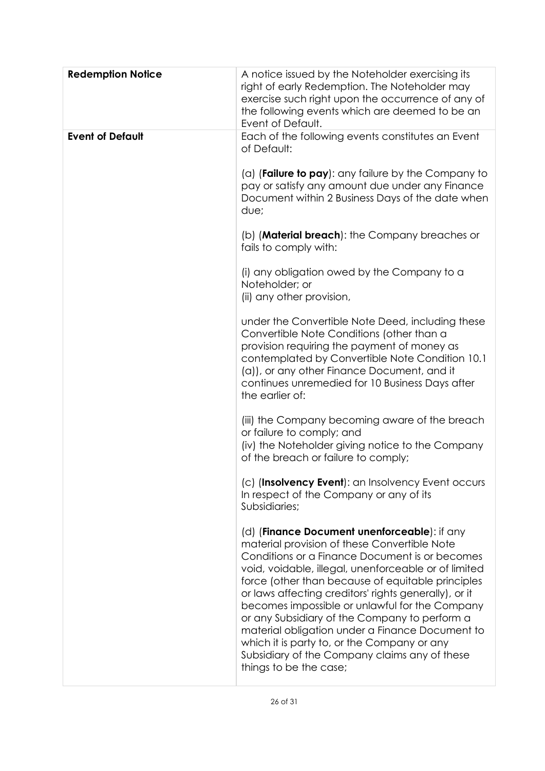| <b>Redemption Notice</b> | A notice issued by the Noteholder exercising its<br>right of early Redemption. The Noteholder may<br>exercise such right upon the occurrence of any of<br>the following events which are deemed to be an<br>Event of Default.                                                                                                                                                                                                                                                                                                                                                                        |
|--------------------------|------------------------------------------------------------------------------------------------------------------------------------------------------------------------------------------------------------------------------------------------------------------------------------------------------------------------------------------------------------------------------------------------------------------------------------------------------------------------------------------------------------------------------------------------------------------------------------------------------|
| <b>Event of Default</b>  | Each of the following events constitutes an Event<br>of Default:<br>(a) (Failure to $pay$ ): any failure by the Company to<br>pay or satisfy any amount due under any Finance<br>Document within 2 Business Days of the date when<br>due;                                                                                                                                                                                                                                                                                                                                                            |
|                          | (b) ( <b>Material breach</b> ): the Company breaches or<br>fails to comply with:                                                                                                                                                                                                                                                                                                                                                                                                                                                                                                                     |
|                          | (i) any obligation owed by the Company to a<br>Noteholder; or<br>(ii) any other provision,                                                                                                                                                                                                                                                                                                                                                                                                                                                                                                           |
|                          | under the Convertible Note Deed, including these<br>Convertible Note Conditions (other than a<br>provision requiring the payment of money as<br>contemplated by Convertible Note Condition 10.1<br>(a)), or any other Finance Document, and it<br>continues unremedied for 10 Business Days after<br>the earlier of:                                                                                                                                                                                                                                                                                 |
|                          | (iii) the Company becoming aware of the breach<br>or failure to comply; and<br>(iv) the Noteholder giving notice to the Company<br>of the breach or failure to comply;                                                                                                                                                                                                                                                                                                                                                                                                                               |
|                          | (c) (Insolvency Event): an Insolvency Event occurs<br>In respect of the Company or any of its<br>Subsidiaries;                                                                                                                                                                                                                                                                                                                                                                                                                                                                                       |
|                          | (d) (Finance Document unenforceable): if any<br>material provision of these Convertible Note<br>Conditions or a Finance Document is or becomes<br>void, voidable, illegal, unenforceable or of limited<br>force (other than because of equitable principles<br>or laws affecting creditors' rights generally), or it<br>becomes impossible or unlawful for the Company<br>or any Subsidiary of the Company to perform a<br>material obligation under a Finance Document to<br>which it is party to, or the Company or any<br>Subsidiary of the Company claims any of these<br>things to be the case; |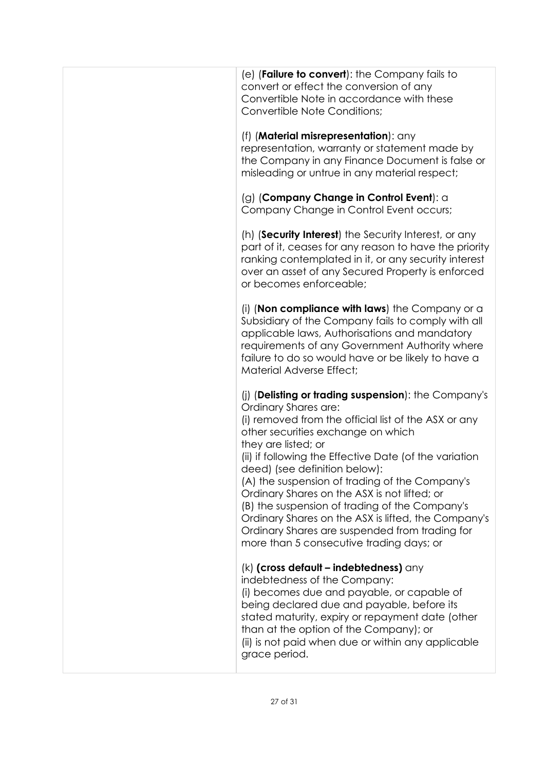| (e) ( <b>Failure to convert</b> ): the Company fails to<br>convert or effect the conversion of any<br>Convertible Note in accordance with these<br>Convertible Note Conditions;                                                                                                                                                                                                                                                                                                                                                                                                                       |
|-------------------------------------------------------------------------------------------------------------------------------------------------------------------------------------------------------------------------------------------------------------------------------------------------------------------------------------------------------------------------------------------------------------------------------------------------------------------------------------------------------------------------------------------------------------------------------------------------------|
| (f) ( <b>Material misrepresentation</b> ): any<br>representation, warranty or statement made by<br>the Company in any Finance Document is false or<br>misleading or untrue in any material respect;                                                                                                                                                                                                                                                                                                                                                                                                   |
| (g) (Company Change in Control Event): a<br>Company Change in Control Event occurs;                                                                                                                                                                                                                                                                                                                                                                                                                                                                                                                   |
| (h) (Security Interest) the Security Interest, or any<br>part of it, ceases for any reason to have the priority<br>ranking contemplated in it, or any security interest<br>over an asset of any Secured Property is enforced<br>or becomes enforceable;                                                                                                                                                                                                                                                                                                                                               |
| (i) (Non compliance with laws) the Company or $a$<br>Subsidiary of the Company fails to comply with all<br>applicable laws, Authorisations and mandatory<br>requirements of any Government Authority where<br>failure to do so would have or be likely to have a<br>Material Adverse Effect;                                                                                                                                                                                                                                                                                                          |
| (i) (Delisting or trading suspension): the Company's<br>Ordinary Shares are:<br>(i) removed from the official list of the ASX or any<br>other securities exchange on which<br>they are listed; or<br>(ii) if following the Effective Date (of the variation<br>deed) (see definition below):<br>(A) the suspension of trading of the Company's<br>Ordinary Shares on the ASX is not lifted; or<br>(B) the suspension of trading of the Company's<br>Ordinary Shares on the ASX is lifted, the Company's<br>Ordinary Shares are suspended from trading for<br>more than 5 consecutive trading days; or |
| (k) (cross default - indebtedness) any<br>indebtedness of the Company:<br>(i) becomes due and payable, or capable of<br>being declared due and payable, before its<br>stated maturity, expiry or repayment date (other<br>than at the option of the Company); or<br>(ii) is not paid when due or within any applicable<br>grace period.                                                                                                                                                                                                                                                               |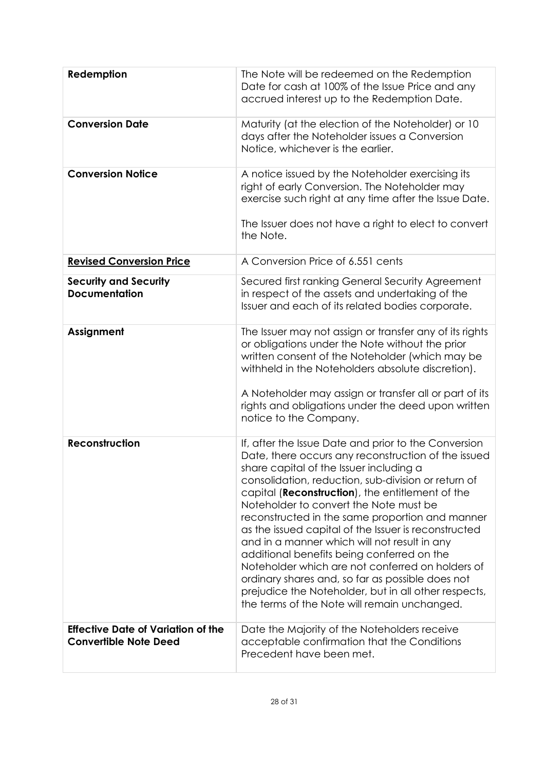| Redemption                                                                | The Note will be redeemed on the Redemption<br>Date for cash at 100% of the Issue Price and any<br>accrued interest up to the Redemption Date.                                                                                                                                                                                                                                                                                                                                                                                                                                                                                                                                                                                                |
|---------------------------------------------------------------------------|-----------------------------------------------------------------------------------------------------------------------------------------------------------------------------------------------------------------------------------------------------------------------------------------------------------------------------------------------------------------------------------------------------------------------------------------------------------------------------------------------------------------------------------------------------------------------------------------------------------------------------------------------------------------------------------------------------------------------------------------------|
| <b>Conversion Date</b>                                                    | Maturity (at the election of the Noteholder) or 10<br>days after the Noteholder issues a Conversion<br>Notice, whichever is the earlier.                                                                                                                                                                                                                                                                                                                                                                                                                                                                                                                                                                                                      |
| <b>Conversion Notice</b>                                                  | A notice issued by the Noteholder exercising its<br>right of early Conversion. The Noteholder may<br>exercise such right at any time after the Issue Date.<br>The Issuer does not have a right to elect to convert<br>the Note.                                                                                                                                                                                                                                                                                                                                                                                                                                                                                                               |
| <b>Revised Conversion Price</b>                                           | A Conversion Price of 6.551 cents                                                                                                                                                                                                                                                                                                                                                                                                                                                                                                                                                                                                                                                                                                             |
| <b>Security and Security</b><br><b>Documentation</b>                      | Secured first ranking General Security Agreement<br>in respect of the assets and undertaking of the<br>Issuer and each of its related bodies corporate.                                                                                                                                                                                                                                                                                                                                                                                                                                                                                                                                                                                       |
| Assignment                                                                | The Issuer may not assign or transfer any of its rights<br>or obligations under the Note without the prior<br>written consent of the Noteholder (which may be<br>withheld in the Noteholders absolute discretion).<br>A Noteholder may assign or transfer all or part of its<br>rights and obligations under the deed upon written<br>notice to the Company.                                                                                                                                                                                                                                                                                                                                                                                  |
| <b>Reconstruction</b>                                                     | If, after the Issue Date and prior to the Conversion<br>Date, there occurs any reconstruction of the issued<br>share capital of the Issuer including a<br>consolidation, reduction, sub-division or return of<br>capital ( <b>Reconstruction</b> ), the entitlement of the<br>Noteholder to convert the Note must be<br>reconstructed in the same proportion and manner<br>as the issued capital of the Issuer is reconstructed<br>and in a manner which will not result in any<br>additional benefits being conferred on the<br>Noteholder which are not conferred on holders of<br>ordinary shares and, so far as possible does not<br>prejudice the Noteholder, but in all other respects,<br>the terms of the Note will remain unchanged. |
| <b>Effective Date of Variation of the</b><br><b>Convertible Note Deed</b> | Date the Majority of the Noteholders receive<br>acceptable confirmation that the Conditions<br>Precedent have been met.                                                                                                                                                                                                                                                                                                                                                                                                                                                                                                                                                                                                                       |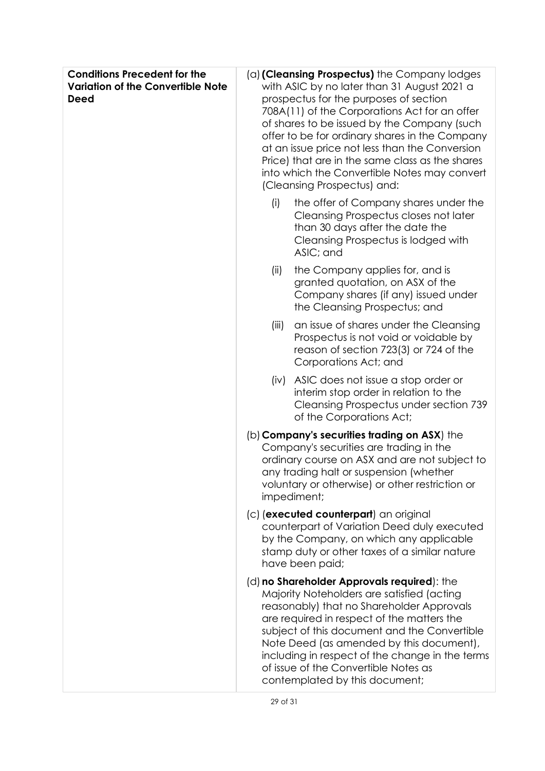| <b>Conditions Precedent for the</b><br><b>Variation of the Convertible Note</b><br><b>Deed</b> |       | (a) (Cleansing Prospectus) the Company lodges<br>with ASIC by no later than 31 August 2021 a<br>prospectus for the purposes of section<br>708A(11) of the Corporations Act for an offer<br>of shares to be issued by the Company (such<br>offer to be for ordinary shares in the Company<br>at an issue price not less than the Conversion<br>Price) that are in the same class as the shares<br>into which the Convertible Notes may convert<br>(Cleansing Prospectus) and: |
|------------------------------------------------------------------------------------------------|-------|------------------------------------------------------------------------------------------------------------------------------------------------------------------------------------------------------------------------------------------------------------------------------------------------------------------------------------------------------------------------------------------------------------------------------------------------------------------------------|
|                                                                                                | (i)   | the offer of Company shares under the<br>Cleansing Prospectus closes not later<br>than 30 days after the date the<br>Cleansing Prospectus is lodged with<br>ASIC; and                                                                                                                                                                                                                                                                                                        |
|                                                                                                | (ii)  | the Company applies for, and is<br>granted quotation, on ASX of the<br>Company shares (if any) issued under<br>the Cleansing Prospectus; and                                                                                                                                                                                                                                                                                                                                 |
|                                                                                                | (iii) | an issue of shares under the Cleansing<br>Prospectus is not void or voidable by<br>reason of section 723(3) or 724 of the<br>Corporations Act; and                                                                                                                                                                                                                                                                                                                           |
|                                                                                                | (iv)  | ASIC does not issue a stop order or<br>interim stop order in relation to the<br>Cleansing Prospectus under section 739<br>of the Corporations Act;                                                                                                                                                                                                                                                                                                                           |
|                                                                                                |       | (b) Company's securities trading on ASX) the<br>Company's securities are trading in the<br>ordinary course on ASX and are not subject to<br>any trading halt or suspension (whether<br>voluntary or otherwise) or other restriction or<br>impediment;                                                                                                                                                                                                                        |
|                                                                                                |       | (c) (executed counterpart) an original<br>counterpart of Variation Deed duly executed<br>by the Company, on which any applicable<br>stamp duty or other taxes of a similar nature<br>have been paid;                                                                                                                                                                                                                                                                         |
|                                                                                                |       | (d) no Shareholder Approvals required): the<br>Majority Noteholders are satisfied (acting<br>reasonably) that no Shareholder Approvals<br>are required in respect of the matters the<br>subject of this document and the Convertible<br>Note Deed (as amended by this document),<br>including in respect of the change in the terms<br>of issue of the Convertible Notes as<br>contemplated by this document;                                                                |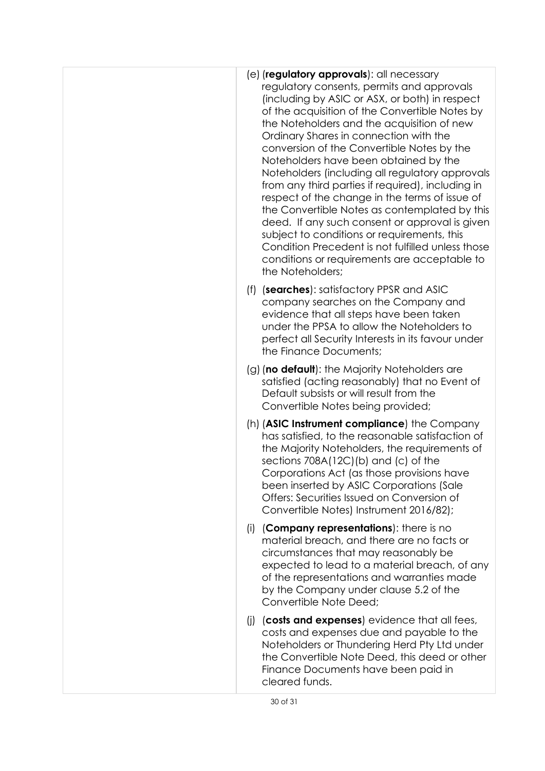|     | $(e)$ (regulatory approvals): all necessary<br>regulatory consents, permits and approvals<br>(including by ASIC or ASX, or both) in respect<br>of the acquisition of the Convertible Notes by<br>the Noteholders and the acquisition of new<br>Ordinary Shares in connection with the<br>conversion of the Convertible Notes by the<br>Noteholders have been obtained by the<br>Noteholders (including all regulatory approvals<br>from any third parties if required), including in<br>respect of the change in the terms of issue of<br>the Convertible Notes as contemplated by this<br>deed. If any such consent or approval is given<br>subject to conditions or requirements, this<br>Condition Precedent is not fulfilled unless those<br>conditions or requirements are acceptable to<br>the Noteholders; |
|-----|-------------------------------------------------------------------------------------------------------------------------------------------------------------------------------------------------------------------------------------------------------------------------------------------------------------------------------------------------------------------------------------------------------------------------------------------------------------------------------------------------------------------------------------------------------------------------------------------------------------------------------------------------------------------------------------------------------------------------------------------------------------------------------------------------------------------|
| (f) | (searches): satisfactory PPSR and ASIC<br>company searches on the Company and<br>evidence that all steps have been taken<br>under the PPSA to allow the Noteholders to<br>perfect all Security Interests in its favour under<br>the Finance Documents;                                                                                                                                                                                                                                                                                                                                                                                                                                                                                                                                                            |
|     | (g) (no default): the Majority Noteholders are<br>satisfied (acting reasonably) that no Event of<br>Default subsists or will result from the<br>Convertible Notes being provided;                                                                                                                                                                                                                                                                                                                                                                                                                                                                                                                                                                                                                                 |
|     | (h) (ASIC Instrument compliance) the Company<br>has satisfied, to the reasonable satisfaction of<br>the Majority Noteholders, the requirements of<br>sections $708A(12C)(b)$ and $(c)$ of the<br>Corporations Act (as those provisions have<br>been inserted by ASIC Corporations (Sale<br>Offers: Securities Issued on Conversion of<br>Convertible Notes) Instrument 2016/82);                                                                                                                                                                                                                                                                                                                                                                                                                                  |
| (i) | (Company representations): there is no<br>material breach, and there are no facts or<br>circumstances that may reasonably be<br>expected to lead to a material breach, of any<br>of the representations and warranties made<br>by the Company under clause 5.2 of the<br>Convertible Note Deed;                                                                                                                                                                                                                                                                                                                                                                                                                                                                                                                   |
| (i) | (costs and expenses) evidence that all fees,<br>costs and expenses due and payable to the<br>Noteholders or Thundering Herd Pty Ltd under<br>the Convertible Note Deed, this deed or other<br>Finance Documents have been paid in<br>cleared funds.                                                                                                                                                                                                                                                                                                                                                                                                                                                                                                                                                               |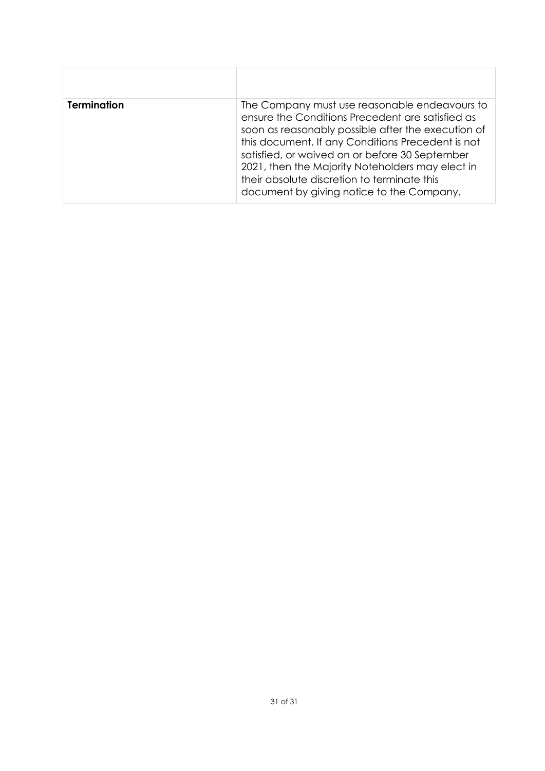| <b>Termination</b> | The Company must use reasonable endeavours to<br>ensure the Conditions Precedent are satisfied as<br>soon as reasonably possible after the execution of<br>this document. If any Conditions Precedent is not<br>satisfied, or waived on or before 30 September<br>2021, then the Majority Noteholders may elect in<br>their absolute discretion to terminate this<br>document by giving notice to the Company. |
|--------------------|----------------------------------------------------------------------------------------------------------------------------------------------------------------------------------------------------------------------------------------------------------------------------------------------------------------------------------------------------------------------------------------------------------------|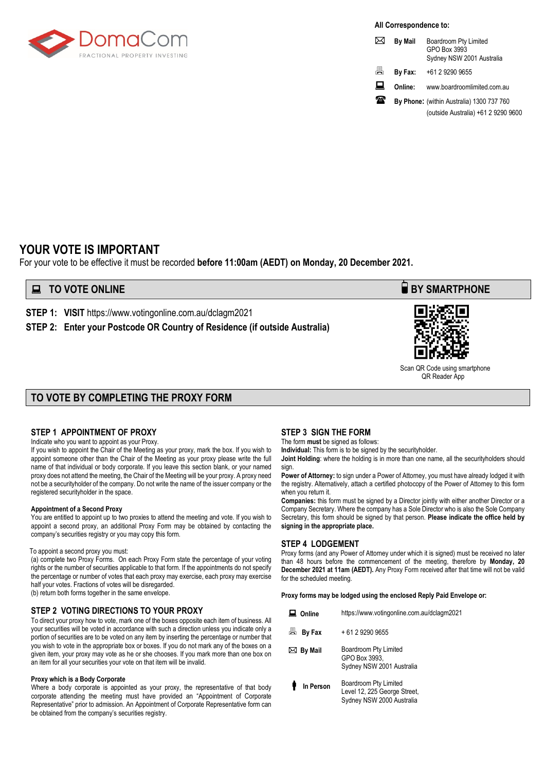

**All Correspondence to:**

|   | <b>By Mail</b> | Boardroom Pty Limited<br>GPO Box 3993<br>Sydney NSW 2001 Australia |
|---|----------------|--------------------------------------------------------------------|
| 昌 | By Fax:        | +61 2 9290 9655                                                    |
| ᇦ | Online:        | www.boardroomlimited.com.au                                        |
|   |                | By Phone: (within Australia) 1300 737 760                          |
|   |                | (outside Australia) +61 2 9290 9600                                |

#### **YOUR VOTE IS IMPORTANT**

For your vote to be effective it must be recorded **before 11:00am (AEDT) on Monday, 20 December 2021.**

**STEP 1: VISIT** https://www.votingonline.com.au/dclagm2021

**STEP 2: Enter your Postcode OR Country of Residence (if outside Australia)**

#### **TO VOTE BY COMPLETING THE PROXY FORM**

#### **STEP 1 APPOINTMENT OF PROXY**

Indicate who you want to appoint as your Proxy.

If you wish to appoint the Chair of the Meeting as your proxy, mark the box. If you wish to appoint someone other than the Chair of the Meeting as your proxy please write the full name of that individual or body corporate. If you leave this section blank, or your named proxy does not attend the meeting, the Chair of the Meeting will be your proxy. A proxy need not be a securityholder of the company. Do not write the name of the issuer company or the registered securityholder in the space.

#### **Appointment of a Second Proxy**

You are entitled to appoint up to two proxies to attend the meeting and vote. If you wish to appoint a second proxy, an additional Proxy Form may be obtained by contacting the company's securities registry or you may copy this form.

#### To appoint a second proxy you must:

(a) complete two Proxy Forms. On each Proxy Form state the percentage of your voting rights or the number of securities applicable to that form. If the appointments do not specify the percentage or number of votes that each proxy may exercise, each proxy may exercise half your votes. Fractions of votes will be disregarded.

(b) return both forms together in the same envelope.

#### **STEP 2 VOTING DIRECTIONS TO YOUR PROXY**

To direct your proxy how to vote, mark one of the boxes opposite each item of business. All your securities will be voted in accordance with such a direction unless you indicate only a portion of securities are to be voted on any item by inserting the percentage or number that you wish to vote in the appropriate box or boxes. If you do not mark any of the boxes on a given item, your proxy may vote as he or she chooses. If you mark more than one box on an item for all your securities your vote on that item will be invalid.

#### **Proxy which is a Body Corporate**

Where a body corporate is appointed as your proxy, the representative of that body corporate attending the meeting must have provided an "Appointment of Corporate Representative" prior to admission. An Appointment of Corporate Representative form can be obtained from the company's securities registry.

#### **STEP 3 SIGN THE FORM**

The form **must** be signed as follows:

**Individual:** This form is to be signed by the securityholder.

**Joint Holding**: where the holding is in more than one name, all the securityholders should sign.

**Power of Attorney:** to sign under a Power of Attorney, you must have already lodged it with the registry. Alternatively, attach a certified photocopy of the Power of Attorney to this form when you return it.

**Companies:** this form must be signed by a Director jointly with either another Director or a Company Secretary. Where the company has a Sole Director who is also the Sole Company Secretary, this form should be signed by that person. **Please indicate the office held by signing in the appropriate place.**

#### **STEP 4 LODGEMENT**

Proxy forms (and any Power of Attorney under which it is signed) must be received no later than 48 hours before the commencement of the meeting, therefore by **Monday, 20 December 2021 at 11am (AEDT).** Any Proxy Form received after that time will not be valid for the scheduled meeting.

**Proxy forms may be lodged using the enclosed Reply Paid Envelope or:**

| Online      | https://www.votingonline.com.au/dclagm2021                                         |  |
|-------------|------------------------------------------------------------------------------------|--|
| 昌<br>By Fax | + 61 2 9290 9655                                                                   |  |
| ⊠ By Mail   | Boardroom Pty Limited<br>GPO Box 3993,<br>Sydney NSW 2001 Australia                |  |
| In Person   | Boardroom Pty Limited<br>Level 12, 225 George Street,<br>Sydney NSW 2000 Australia |  |

#### **EXECUTE ONLINE BY SMARTPHONE**



Scan QR Code using smartphone QR Reader App